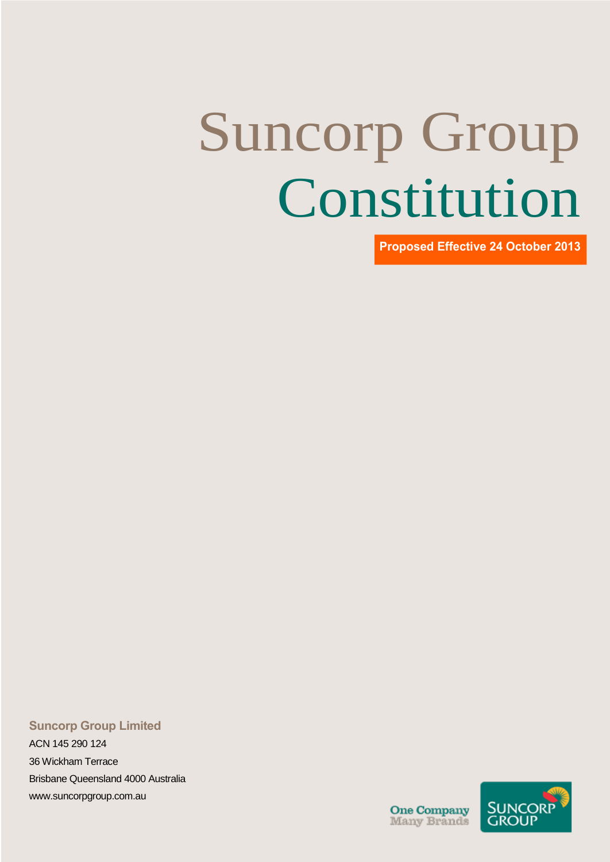# Suncorp Group Constitution

**Proposed Effective 24 October 2013**

#### **Suncorp Group Limited**

ACN 145 290 124 36 Wickham Terrace Brisbane Queensland 4000 Australia [www.suncorpgroup.com.au](http://www.suncorpgroup.com.au/)

**One Company**<br>Many Brands

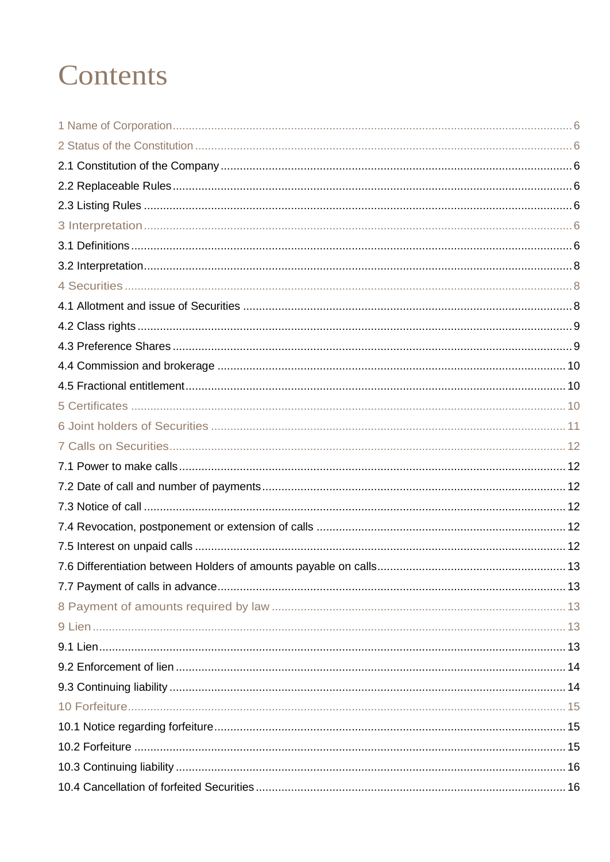### Contents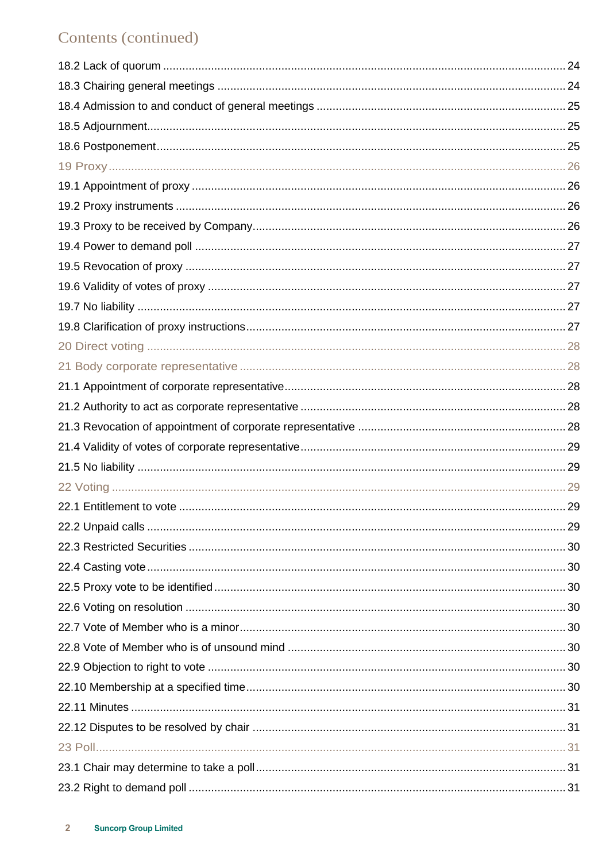#### Contents (continued)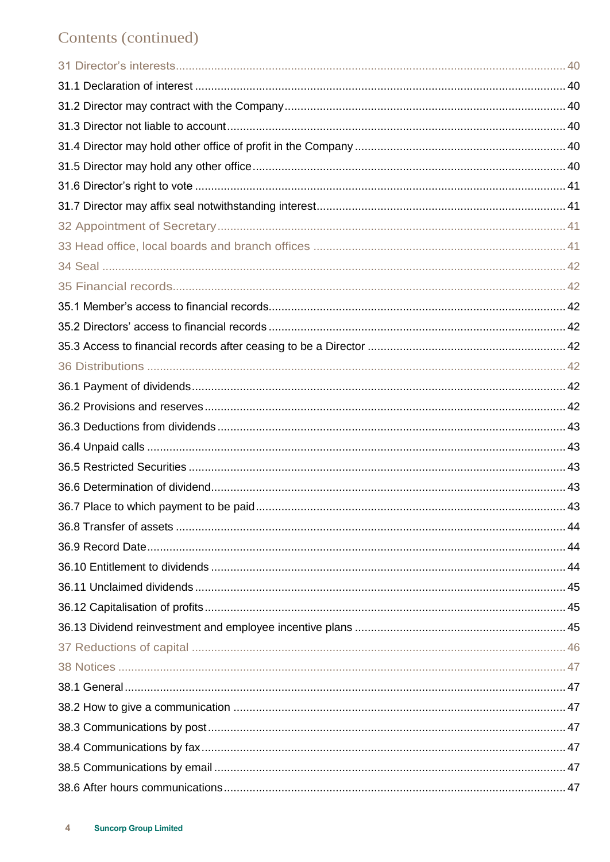#### Contents (continued)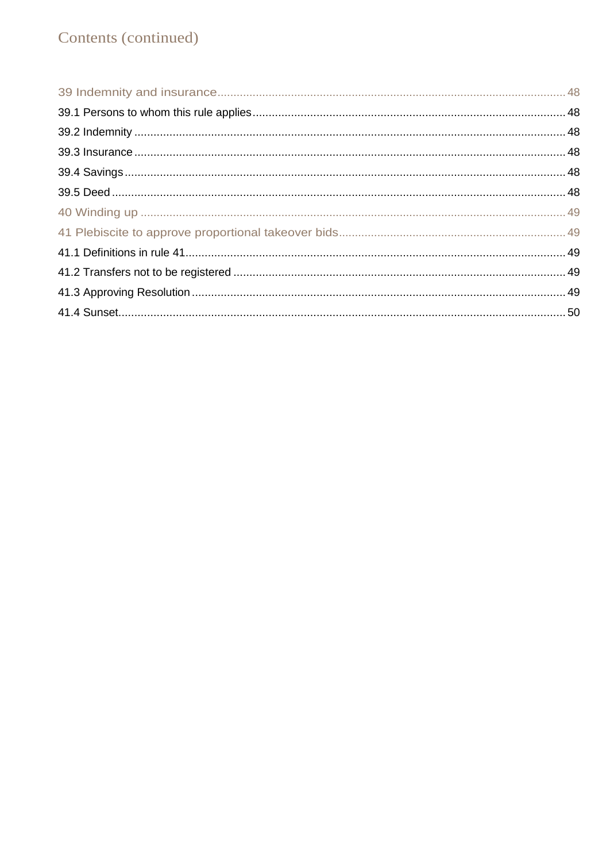#### Contents (continued)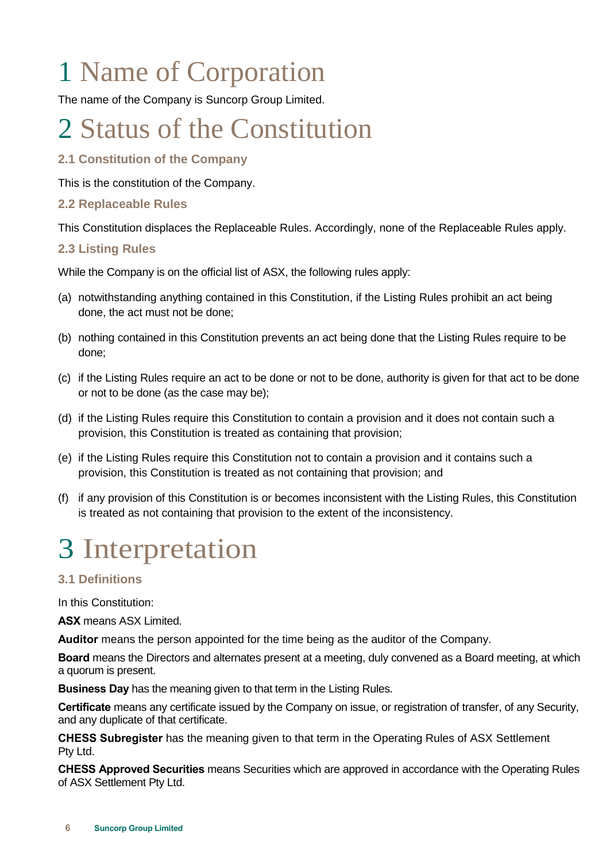# <span id="page-7-0"></span>1 Name of Corporation

The name of the Company is Suncorp Group Limited.

### <span id="page-7-1"></span>2 Status of the Constitution

#### <span id="page-7-2"></span>**2.1 Constitution of the Company**

This is the constitution of the Company.

#### <span id="page-7-3"></span>**2.2 Replaceable Rules**

This Constitution displaces the Replaceable Rules. Accordingly, none of the Replaceable Rules apply.

#### <span id="page-7-4"></span>**2.3 Listing Rules**

While the Company is on the official list of ASX, the following rules apply:

- (a) notwithstanding anything contained in this Constitution, if the Listing Rules prohibit an act being done, the act must not be done;
- (b) nothing contained in this Constitution prevents an act being done that the Listing Rules require to be done;
- (c) if the Listing Rules require an act to be done or not to be done, authority is given for that act to be done or not to be done (as the case may be);
- (d) if the Listing Rules require this Constitution to contain a provision and it does not contain such a provision, this Constitution is treated as containing that provision;
- (e) if the Listing Rules require this Constitution not to contain a provision and it contains such a provision, this Constitution is treated as not containing that provision; and
- (f) if any provision of this Constitution is or becomes inconsistent with the Listing Rules, this Constitution is treated as not containing that provision to the extent of the inconsistency.

### <span id="page-7-5"></span>3 Interpretation

#### <span id="page-7-6"></span>**3.1 Definitions**

In this Constitution:

**ASX** means ASX Limited.

**Auditor** means the person appointed for the time being as the auditor of the Company.

**Board** means the Directors and alternates present at a meeting, duly convened as a Board meeting, at which a quorum is present.

**Business Day** has the meaning given to that term in the Listing Rules.

**Certificate** means any certificate issued by the Company on issue, or registration of transfer, of any Security, and any duplicate of that certificate.

**CHESS Subregister** has the meaning given to that term in the Operating Rules of ASX Settlement Pty Ltd.

**CHESS Approved Securities** means Securities which are approved in accordance with the Operating Rules of ASX Settlement Pty Ltd.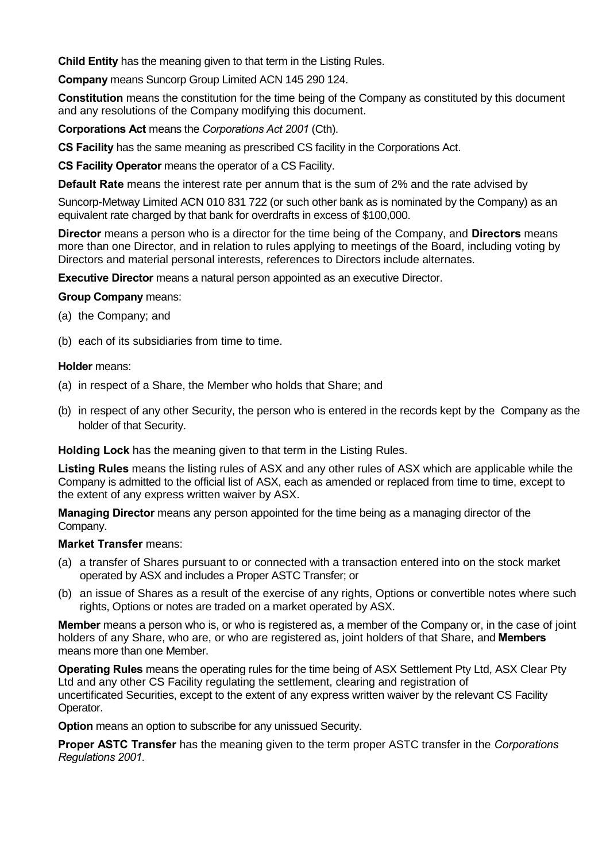**Child Entity** has the meaning given to that term in the Listing Rules.

**Company** means Suncorp Group Limited ACN 145 290 124.

**Constitution** means the constitution for the time being of the Company as constituted by this document and any resolutions of the Company modifying this document.

**Corporations Act** means the *Corporations Act 2001* (Cth).

**CS Facility** has the same meaning as prescribed CS facility in the Corporations Act.

**CS Facility Operator** means the operator of a CS Facility.

**Default Rate** means the interest rate per annum that is the sum of 2% and the rate advised by

Suncorp-Metway Limited ACN 010 831 722 (or such other bank as is nominated by the Company) as an equivalent rate charged by that bank for overdrafts in excess of \$100,000.

**Director** means a person who is a director for the time being of the Company, and **Directors** means more than one Director, and in relation to rules applying to meetings of the Board, including voting by Directors and material personal interests, references to Directors include alternates.

**Executive Director** means a natural person appointed as an executive Director.

#### **Group Company** means:

- (a) the Company; and
- (b) each of its subsidiaries from time to time.

#### **Holder** means:

- (a) in respect of a Share, the Member who holds that Share; and
- (b) in respect of any other Security, the person who is entered in the records kept by the Company as the holder of that Security.

**Holding Lock** has the meaning given to that term in the Listing Rules.

**Listing Rules** means the listing rules of ASX and any other rules of ASX which are applicable while the Company is admitted to the official list of ASX, each as amended or replaced from time to time, except to the extent of any express written waiver by ASX.

**Managing Director** means any person appointed for the time being as a managing director of the Company.

#### **Market Transfer** means:

- (a) a transfer of Shares pursuant to or connected with a transaction entered into on the stock market operated by ASX and includes a Proper ASTC Transfer; or
- (b) an issue of Shares as a result of the exercise of any rights, Options or convertible notes where such rights, Options or notes are traded on a market operated by ASX.

**Member** means a person who is, or who is registered as, a member of the Company or, in the case of joint holders of any Share, who are, or who are registered as, joint holders of that Share, and **Members** means more than one Member.

**Operating Rules** means the operating rules for the time being of ASX Settlement Pty Ltd, ASX Clear Pty Ltd and any other CS Facility regulating the settlement, clearing and registration of uncertificated Securities, except to the extent of any express written waiver by the relevant CS Facility Operator.

**Option** means an option to subscribe for any unissued Security.

**Proper ASTC Transfer** has the meaning given to the term proper ASTC transfer in the *Corporations Regulations 2001*.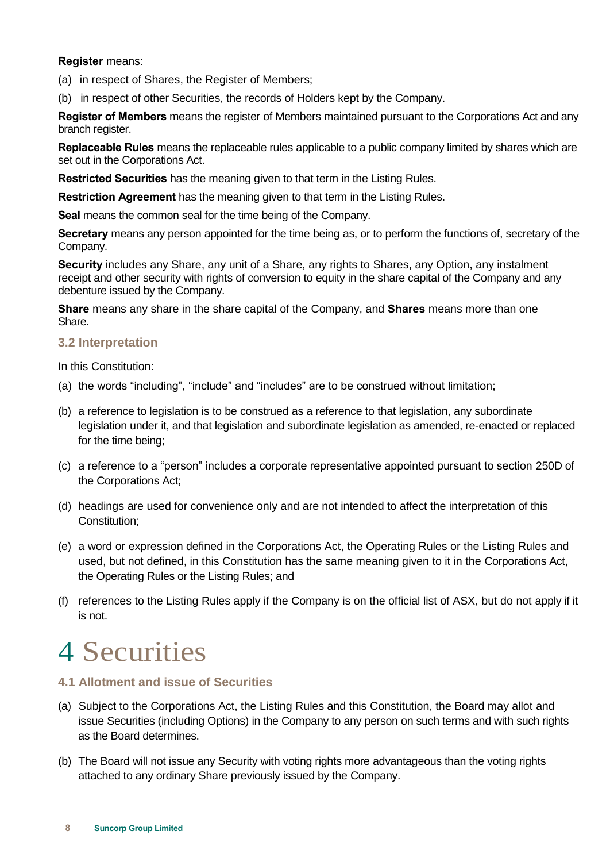#### **Register** means:

- (a) in respect of Shares, the Register of Members;
- (b) in respect of other Securities, the records of Holders kept by the Company.

**Register of Members** means the register of Members maintained pursuant to the Corporations Act and any branch register.

**Replaceable Rules** means the replaceable rules applicable to a public company limited by shares which are set out in the Corporations Act.

**Restricted Securities** has the meaning given to that term in the Listing Rules.

**Restriction Agreement** has the meaning given to that term in the Listing Rules.

**Seal** means the common seal for the time being of the Company.

**Secretary** means any person appointed for the time being as, or to perform the functions of, secretary of the Company.

**Security** includes any Share, any unit of a Share, any rights to Shares, any Option, any instalment receipt and other security with rights of conversion to equity in the share capital of the Company and any debenture issued by the Company.

**Share** means any share in the share capital of the Company, and **Shares** means more than one Share.

#### <span id="page-9-0"></span>**3.2 Interpretation**

In this Constitution:

- (a) the words "including", "include" and "includes" are to be construed without limitation;
- (b) a reference to legislation is to be construed as a reference to that legislation, any subordinate legislation under it, and that legislation and subordinate legislation as amended, re-enacted or replaced for the time being;
- (c) a reference to a "person" includes a corporate representative appointed pursuant to section 250D of the Corporations Act;
- (d) headings are used for convenience only and are not intended to affect the interpretation of this Constitution;
- (e) a word or expression defined in the Corporations Act, the Operating Rules or the Listing Rules and used, but not defined, in this Constitution has the same meaning given to it in the Corporations Act, the Operating Rules or the Listing Rules; and
- (f) references to the Listing Rules apply if the Company is on the official list of ASX, but do not apply if it is not.

### <span id="page-9-1"></span>4 Securities

#### <span id="page-9-2"></span>**4.1 Allotment and issue of Securities**

- (a) Subject to the Corporations Act, the Listing Rules and this Constitution, the Board may allot and issue Securities (including Options) in the Company to any person on such terms and with such rights as the Board determines.
- (b) The Board will not issue any Security with voting rights more advantageous than the voting rights attached to any ordinary Share previously issued by the Company.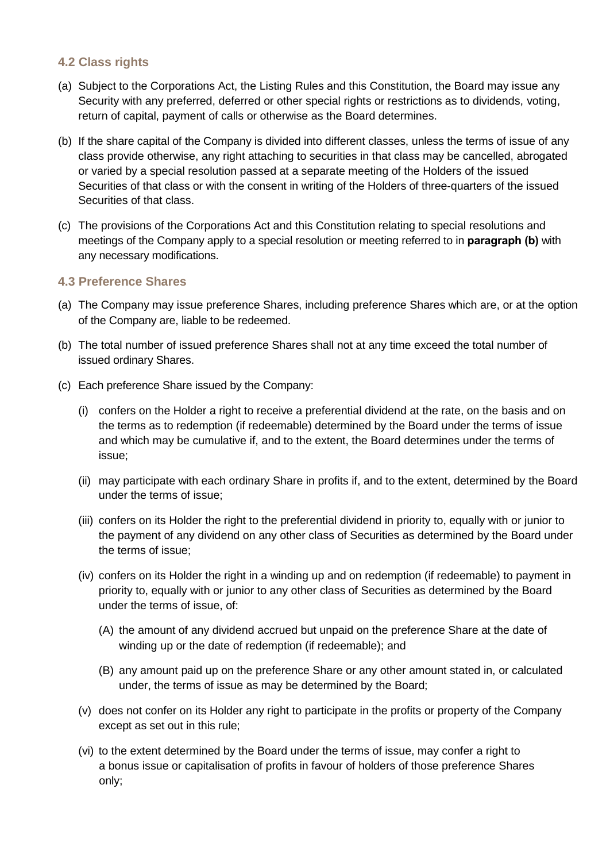#### <span id="page-10-0"></span>**4.2 Class rights**

- (a) Subject to the Corporations Act, the Listing Rules and this Constitution, the Board may issue any Security with any preferred, deferred or other special rights or restrictions as to dividends, voting, return of capital, payment of calls or otherwise as the Board determines.
- (b) If the share capital of the Company is divided into different classes, unless the terms of issue of any class provide otherwise, any right attaching to securities in that class may be cancelled, abrogated or varied by a special resolution passed at a separate meeting of the Holders of the issued Securities of that class or with the consent in writing of the Holders of three-quarters of the issued Securities of that class.
- (c) The provisions of the Corporations Act and this Constitution relating to special resolutions and meetings of the Company apply to a special resolution or meeting referred to in **paragraph (b)** with any necessary modifications.

#### <span id="page-10-1"></span>**4.3 Preference Shares**

- (a) The Company may issue preference Shares, including preference Shares which are, or at the option of the Company are, liable to be redeemed.
- (b) The total number of issued preference Shares shall not at any time exceed the total number of issued ordinary Shares.
- (c) Each preference Share issued by the Company:
	- (i) confers on the Holder a right to receive a preferential dividend at the rate, on the basis and on the terms as to redemption (if redeemable) determined by the Board under the terms of issue and which may be cumulative if, and to the extent, the Board determines under the terms of issue;
	- (ii) may participate with each ordinary Share in profits if, and to the extent, determined by the Board under the terms of issue;
	- (iii) confers on its Holder the right to the preferential dividend in priority to, equally with or junior to the payment of any dividend on any other class of Securities as determined by the Board under the terms of issue;
	- (iv) confers on its Holder the right in a winding up and on redemption (if redeemable) to payment in priority to, equally with or junior to any other class of Securities as determined by the Board under the terms of issue, of:
		- (A) the amount of any dividend accrued but unpaid on the preference Share at the date of winding up or the date of redemption (if redeemable); and
		- (B) any amount paid up on the preference Share or any other amount stated in, or calculated under, the terms of issue as may be determined by the Board;
	- (v) does not confer on its Holder any right to participate in the profits or property of the Company except as set out in this rule;
	- (vi) to the extent determined by the Board under the terms of issue, may confer a right to a bonus issue or capitalisation of profits in favour of holders of those preference Shares only;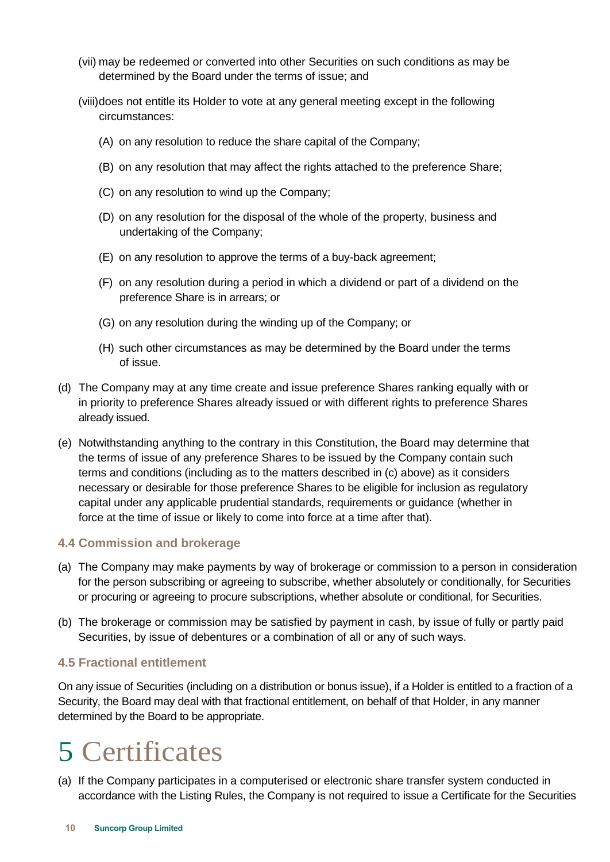- (vii) may be redeemed or converted into other Securities on such conditions as may be determined by the Board under the terms of issue; and
- (viii)does not entitle its Holder to vote at any general meeting except in the following circumstances:
	- (A) on any resolution to reduce the share capital of the Company;
	- (B) on any resolution that may affect the rights attached to the preference Share;
	- (C) on any resolution to wind up the Company;
	- (D) on any resolution for the disposal of the whole of the property, business and undertaking of the Company;
	- (E) on any resolution to approve the terms of a buy-back agreement;
	- (F) on any resolution during a period in which a dividend or part of a dividend on the preference Share is in arrears; or
	- (G) on any resolution during the winding up of the Company; or
	- (H) such other circumstances as may be determined by the Board under the terms of issue.
- (d) The Company may at any time create and issue preference Shares ranking equally with or in priority to preference Shares already issued or with different rights to preference Shares already issued.
- (e) Notwithstanding anything to the contrary in this Constitution, the Board may determine that the terms of issue of any preference Shares to be issued by the Company contain such terms and conditions (including as to the matters described in (c) above) as it considers necessary or desirable for those preference Shares to be eligible for inclusion as regulatory capital under any applicable prudential standards, requirements or guidance (whether in force at the time of issue or likely to come into force at a time after that).

#### <span id="page-11-0"></span>**4.4 Commission and brokerage**

- (a) The Company may make payments by way of brokerage or commission to a person in consideration for the person subscribing or agreeing to subscribe, whether absolutely or conditionally, for Securities or procuring or agreeing to procure subscriptions, whether absolute or conditional, for Securities.
- (b) The brokerage or commission may be satisfied by payment in cash, by issue of fully or partly paid Securities, by issue of debentures or a combination of all or any of such ways.

#### <span id="page-11-1"></span>**4.5 Fractional entitlement**

On any issue of Securities (including on a distribution or bonus issue), if a Holder is entitled to a fraction of a Security, the Board may deal with that fractional entitlement, on behalf of that Holder, in any manner determined by the Board to be appropriate.

### <span id="page-11-2"></span>5 Certificates

(a) If the Company participates in a computerised or electronic share transfer system conducted in accordance with the Listing Rules, the Company is not required to issue a Certificate for the Securities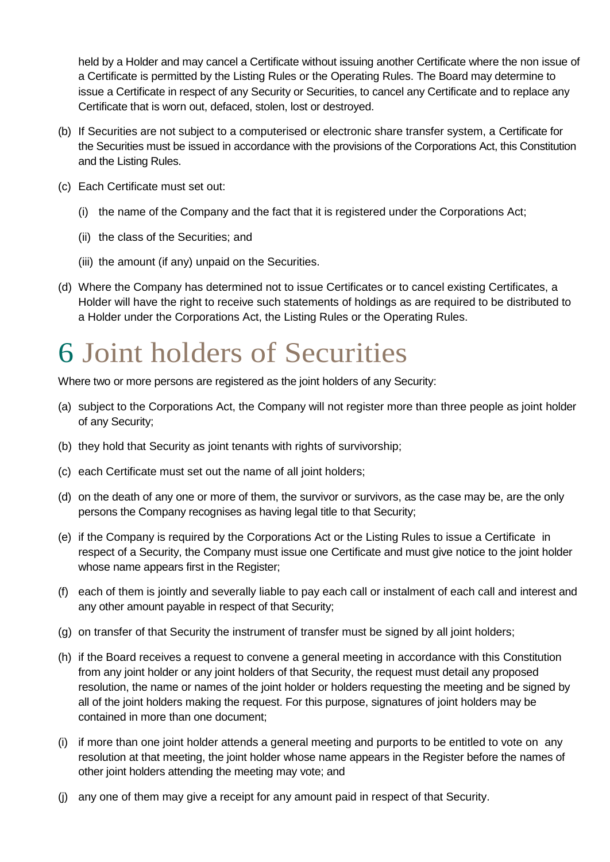held by a Holder and may cancel a Certificate without issuing another Certificate where the non issue of a Certificate is permitted by the Listing Rules or the Operating Rules. The Board may determine to issue a Certificate in respect of any Security or Securities, to cancel any Certificate and to replace any Certificate that is worn out, defaced, stolen, lost or destroyed.

- (b) If Securities are not subject to a computerised or electronic share transfer system, a Certificate for the Securities must be issued in accordance with the provisions of the Corporations Act, this Constitution and the Listing Rules.
- (c) Each Certificate must set out:
	- (i) the name of the Company and the fact that it is registered under the Corporations Act;
	- (ii) the class of the Securities; and
	- (iii) the amount (if any) unpaid on the Securities.
- (d) Where the Company has determined not to issue Certificates or to cancel existing Certificates, a Holder will have the right to receive such statements of holdings as are required to be distributed to a Holder under the Corporations Act, the Listing Rules or the Operating Rules.

### <span id="page-12-0"></span>6 Joint holders of Securities

Where two or more persons are registered as the joint holders of any Security:

- (a) subject to the Corporations Act, the Company will not register more than three people as joint holder of any Security;
- (b) they hold that Security as joint tenants with rights of survivorship;
- (c) each Certificate must set out the name of all joint holders;
- (d) on the death of any one or more of them, the survivor or survivors, as the case may be, are the only persons the Company recognises as having legal title to that Security;
- (e) if the Company is required by the Corporations Act or the Listing Rules to issue a Certificate in respect of a Security, the Company must issue one Certificate and must give notice to the joint holder whose name appears first in the Register;
- (f) each of them is jointly and severally liable to pay each call or instalment of each call and interest and any other amount payable in respect of that Security;
- (g) on transfer of that Security the instrument of transfer must be signed by all joint holders;
- (h) if the Board receives a request to convene a general meeting in accordance with this Constitution from any joint holder or any joint holders of that Security, the request must detail any proposed resolution, the name or names of the joint holder or holders requesting the meeting and be signed by all of the joint holders making the request. For this purpose, signatures of joint holders may be contained in more than one document;
- (i) if more than one joint holder attends a general meeting and purports to be entitled to vote on any resolution at that meeting, the joint holder whose name appears in the Register before the names of other joint holders attending the meeting may vote; and
- (j) any one of them may give a receipt for any amount paid in respect of that Security.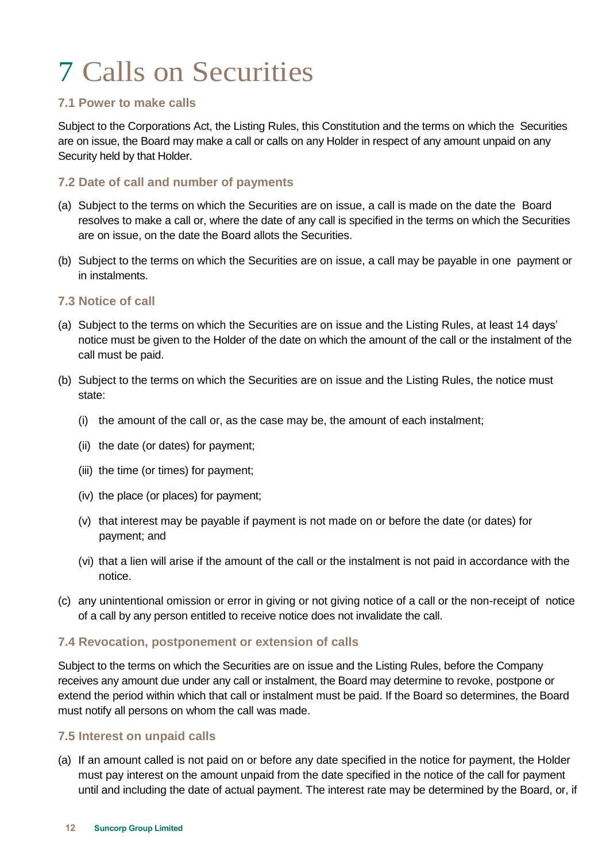# <span id="page-13-0"></span>7 Calls on Securities

#### <span id="page-13-1"></span>**7.1 Power to make calls**

Subject to the Corporations Act, the Listing Rules, this Constitution and the terms on which the Securities are on issue, the Board may make a call or calls on any Holder in respect of any amount unpaid on any Security held by that Holder.

#### <span id="page-13-2"></span>**7.2 Date of call and number of payments**

- (a) Subject to the terms on which the Securities are on issue, a call is made on the date the Board resolves to make a call or, where the date of any call is specified in the terms on which the Securities are on issue, on the date the Board allots the Securities.
- (b) Subject to the terms on which the Securities are on issue, a call may be payable in one payment or in instalments.

#### <span id="page-13-3"></span>**7.3 Notice of call**

- (a) Subject to the terms on which the Securities are on issue and the Listing Rules, at least 14 days' notice must be given to the Holder of the date on which the amount of the call or the instalment of the call must be paid.
- (b) Subject to the terms on which the Securities are on issue and the Listing Rules, the notice must state:
	- (i) the amount of the call or, as the case may be, the amount of each instalment;
	- (ii) the date (or dates) for payment;
	- (iii) the time (or times) for payment;
	- (iv) the place (or places) for payment;
	- (v) that interest may be payable if payment is not made on or before the date (or dates) for payment; and
	- (vi) that a lien will arise if the amount of the call or the instalment is not paid in accordance with the notice.
- (c) any unintentional omission or error in giving or not giving notice of a call or the non-receipt of notice of a call by any person entitled to receive notice does not invalidate the call.

#### <span id="page-13-4"></span>**7.4 Revocation, postponement or extension of calls**

Subject to the terms on which the Securities are on issue and the Listing Rules, before the Company receives any amount due under any call or instalment, the Board may determine to revoke, postpone or extend the period within which that call or instalment must be paid. If the Board so determines, the Board must notify all persons on whom the call was made.

#### <span id="page-13-5"></span>**7.5 Interest on unpaid calls**

(a) If an amount called is not paid on or before any date specified in the notice for payment, the Holder must pay interest on the amount unpaid from the date specified in the notice of the call for payment until and including the date of actual payment. The interest rate may be determined by the Board, or, if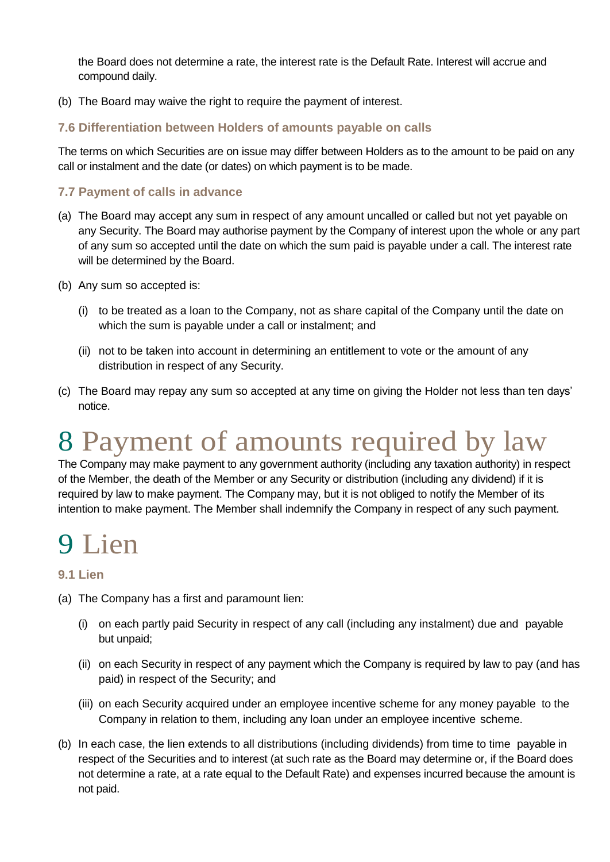the Board does not determine a rate, the interest rate is the Default Rate. Interest will accrue and compound daily.

(b) The Board may waive the right to require the payment of interest.

#### <span id="page-14-0"></span>**7.6 Differentiation between Holders of amounts payable on calls**

The terms on which Securities are on issue may differ between Holders as to the amount to be paid on any call or instalment and the date (or dates) on which payment is to be made.

#### <span id="page-14-1"></span>**7.7 Payment of calls in advance**

- (a) The Board may accept any sum in respect of any amount uncalled or called but not yet payable on any Security. The Board may authorise payment by the Company of interest upon the whole or any part of any sum so accepted until the date on which the sum paid is payable under a call. The interest rate will be determined by the Board.
- (b) Any sum so accepted is:
	- (i) to be treated as a loan to the Company, not as share capital of the Company until the date on which the sum is payable under a call or instalment; and
	- (ii) not to be taken into account in determining an entitlement to vote or the amount of any distribution in respect of any Security.
- (c) The Board may repay any sum so accepted at any time on giving the Holder not less than ten days' notice.

### <span id="page-14-2"></span>8 Payment of amounts required by law

The Company may make payment to any government authority (including any taxation authority) in respect of the Member, the death of the Member or any Security or distribution (including any dividend) if it is required by law to make payment. The Company may, but it is not obliged to notify the Member of its intention to make payment. The Member shall indemnify the Company in respect of any such payment.

### <span id="page-14-3"></span>9 Lien

#### <span id="page-14-4"></span>**9.1 Lien**

- (a) The Company has a first and paramount lien:
	- (i) on each partly paid Security in respect of any call (including any instalment) due and payable but unpaid;
	- (ii) on each Security in respect of any payment which the Company is required by law to pay (and has paid) in respect of the Security; and
	- (iii) on each Security acquired under an employee incentive scheme for any money payable to the Company in relation to them, including any loan under an employee incentive scheme.
- (b) In each case, the lien extends to all distributions (including dividends) from time to time payable in respect of the Securities and to interest (at such rate as the Board may determine or, if the Board does not determine a rate, at a rate equal to the Default Rate) and expenses incurred because the amount is not paid.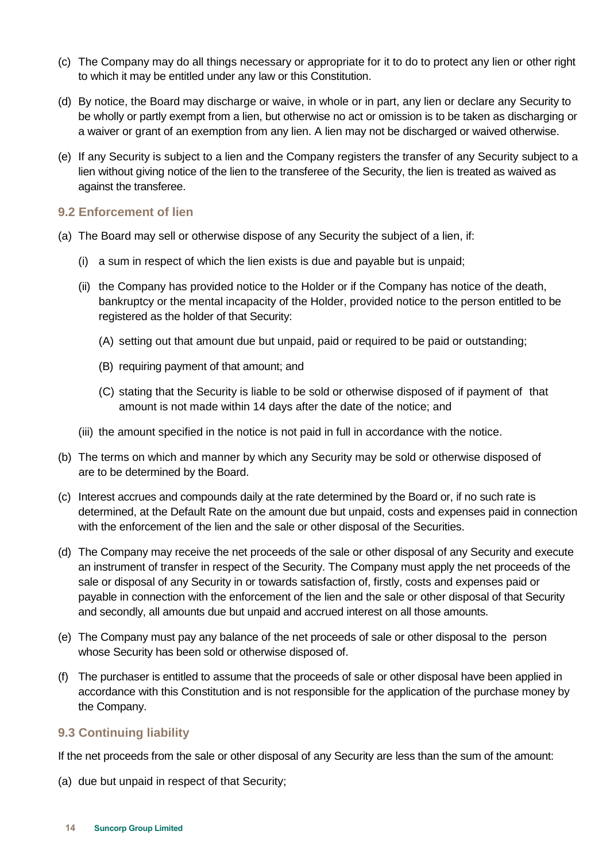- (c) The Company may do all things necessary or appropriate for it to do to protect any lien or other right to which it may be entitled under any law or this Constitution.
- (d) By notice, the Board may discharge or waive, in whole or in part, any lien or declare any Security to be wholly or partly exempt from a lien, but otherwise no act or omission is to be taken as discharging or a waiver or grant of an exemption from any lien. A lien may not be discharged or waived otherwise.
- (e) If any Security is subject to a lien and the Company registers the transfer of any Security subject to a lien without giving notice of the lien to the transferee of the Security, the lien is treated as waived as against the transferee.

#### <span id="page-15-0"></span>**9.2 Enforcement of lien**

- (a) The Board may sell or otherwise dispose of any Security the subject of a lien, if:
	- (i) a sum in respect of which the lien exists is due and payable but is unpaid;
	- (ii) the Company has provided notice to the Holder or if the Company has notice of the death, bankruptcy or the mental incapacity of the Holder, provided notice to the person entitled to be registered as the holder of that Security:
		- (A) setting out that amount due but unpaid, paid or required to be paid or outstanding;
		- (B) requiring payment of that amount; and
		- (C) stating that the Security is liable to be sold or otherwise disposed of if payment of that amount is not made within 14 days after the date of the notice; and
	- (iii) the amount specified in the notice is not paid in full in accordance with the notice.
- (b) The terms on which and manner by which any Security may be sold or otherwise disposed of are to be determined by the Board.
- (c) Interest accrues and compounds daily at the rate determined by the Board or, if no such rate is determined, at the Default Rate on the amount due but unpaid, costs and expenses paid in connection with the enforcement of the lien and the sale or other disposal of the Securities.
- (d) The Company may receive the net proceeds of the sale or other disposal of any Security and execute an instrument of transfer in respect of the Security. The Company must apply the net proceeds of the sale or disposal of any Security in or towards satisfaction of, firstly, costs and expenses paid or payable in connection with the enforcement of the lien and the sale or other disposal of that Security and secondly, all amounts due but unpaid and accrued interest on all those amounts.
- (e) The Company must pay any balance of the net proceeds of sale or other disposal to the person whose Security has been sold or otherwise disposed of.
- (f) The purchaser is entitled to assume that the proceeds of sale or other disposal have been applied in accordance with this Constitution and is not responsible for the application of the purchase money by the Company.

#### <span id="page-15-1"></span>**9.3 Continuing liability**

If the net proceeds from the sale or other disposal of any Security are less than the sum of the amount:

(a) due but unpaid in respect of that Security;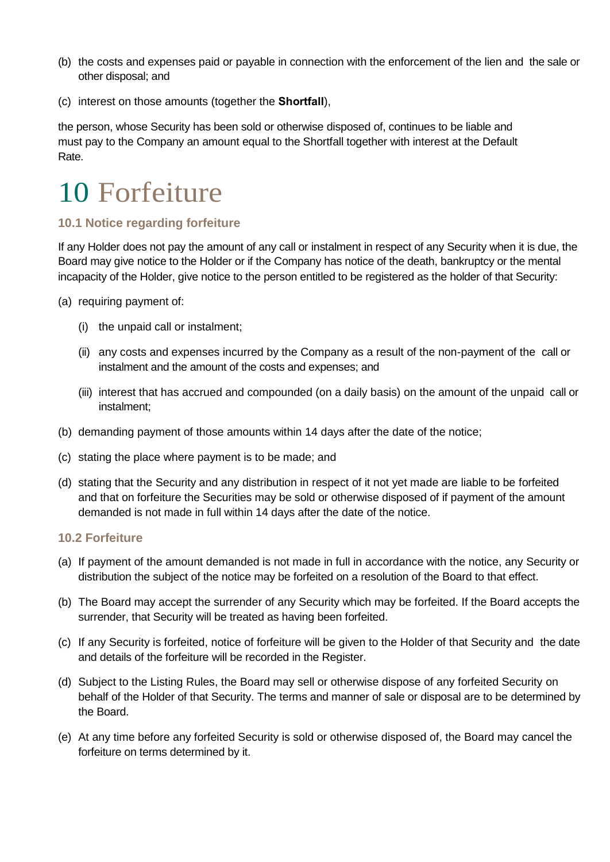- (b) the costs and expenses paid or payable in connection with the enforcement of the lien and the sale or other disposal; and
- (c) interest on those amounts (together the **Shortfall**),

the person, whose Security has been sold or otherwise disposed of, continues to be liable and must pay to the Company an amount equal to the Shortfall together with interest at the Default Rate.

### <span id="page-16-0"></span>10 Forfeiture

#### <span id="page-16-1"></span>**10.1 Notice regarding forfeiture**

If any Holder does not pay the amount of any call or instalment in respect of any Security when it is due, the Board may give notice to the Holder or if the Company has notice of the death, bankruptcy or the mental incapacity of the Holder, give notice to the person entitled to be registered as the holder of that Security:

- (a) requiring payment of:
	- (i) the unpaid call or instalment;
	- (ii) any costs and expenses incurred by the Company as a result of the non-payment of the call or instalment and the amount of the costs and expenses; and
	- (iii) interest that has accrued and compounded (on a daily basis) on the amount of the unpaid call or instalment;
- (b) demanding payment of those amounts within 14 days after the date of the notice;
- (c) stating the place where payment is to be made; and
- (d) stating that the Security and any distribution in respect of it not yet made are liable to be forfeited and that on forfeiture the Securities may be sold or otherwise disposed of if payment of the amount demanded is not made in full within 14 days after the date of the notice.

#### <span id="page-16-2"></span>**10.2 Forfeiture**

- (a) If payment of the amount demanded is not made in full in accordance with the notice, any Security or distribution the subject of the notice may be forfeited on a resolution of the Board to that effect.
- (b) The Board may accept the surrender of any Security which may be forfeited. If the Board accepts the surrender, that Security will be treated as having been forfeited.
- (c) If any Security is forfeited, notice of forfeiture will be given to the Holder of that Security and the date and details of the forfeiture will be recorded in the Register.
- (d) Subject to the Listing Rules, the Board may sell or otherwise dispose of any forfeited Security on behalf of the Holder of that Security. The terms and manner of sale or disposal are to be determined by the Board.
- (e) At any time before any forfeited Security is sold or otherwise disposed of, the Board may cancel the forfeiture on terms determined by it.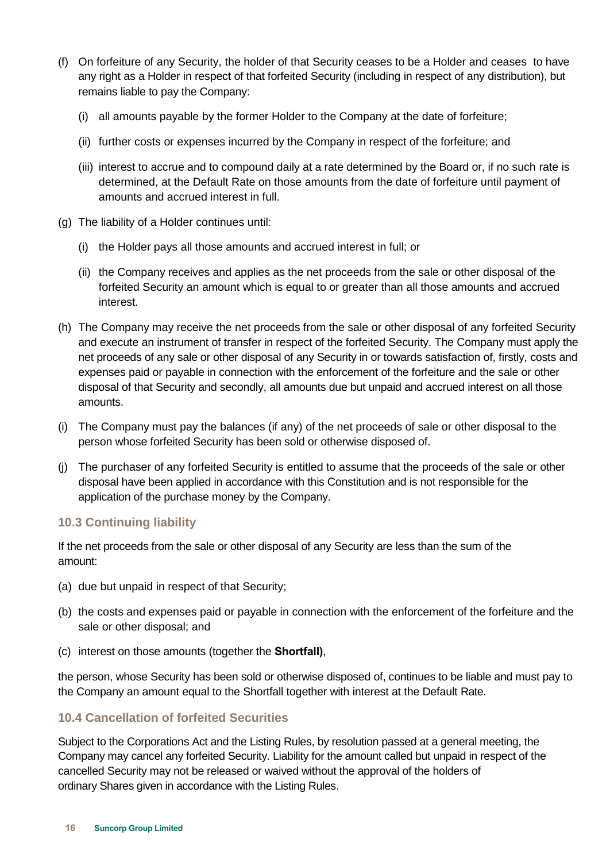- (f) On forfeiture of any Security, the holder of that Security ceases to be a Holder and ceases to have any right as a Holder in respect of that forfeited Security (including in respect of any distribution), but remains liable to pay the Company:
	- (i) all amounts payable by the former Holder to the Company at the date of forfeiture;
	- (ii) further costs or expenses incurred by the Company in respect of the forfeiture; and
	- (iii) interest to accrue and to compound daily at a rate determined by the Board or, if no such rate is determined, at the Default Rate on those amounts from the date of forfeiture until payment of amounts and accrued interest in full.
- (g) The liability of a Holder continues until:
	- (i) the Holder pays all those amounts and accrued interest in full; or
	- (ii) the Company receives and applies as the net proceeds from the sale or other disposal of the forfeited Security an amount which is equal to or greater than all those amounts and accrued interest.
- (h) The Company may receive the net proceeds from the sale or other disposal of any forfeited Security and execute an instrument of transfer in respect of the forfeited Security. The Company must apply the net proceeds of any sale or other disposal of any Security in or towards satisfaction of, firstly, costs and expenses paid or payable in connection with the enforcement of the forfeiture and the sale or other disposal of that Security and secondly, all amounts due but unpaid and accrued interest on all those amounts.
- (i) The Company must pay the balances (if any) of the net proceeds of sale or other disposal to the person whose forfeited Security has been sold or otherwise disposed of.
- (j) The purchaser of any forfeited Security is entitled to assume that the proceeds of the sale or other disposal have been applied in accordance with this Constitution and is not responsible for the application of the purchase money by the Company.

#### <span id="page-17-0"></span>**10.3 Continuing liability**

If the net proceeds from the sale or other disposal of any Security are less than the sum of the amount:

- (a) due but unpaid in respect of that Security;
- (b) the costs and expenses paid or payable in connection with the enforcement of the forfeiture and the sale or other disposal; and
- (c) interest on those amounts (together the **Shortfall)**,

the person, whose Security has been sold or otherwise disposed of, continues to be liable and must pay to the Company an amount equal to the Shortfall together with interest at the Default Rate.

#### <span id="page-17-1"></span>**10.4 Cancellation of forfeited Securities**

Subject to the Corporations Act and the Listing Rules, by resolution passed at a general meeting, the Company may cancel any forfeited Security. Liability for the amount called but unpaid in respect of the cancelled Security may not be released or waived without the approval of the holders of ordinary Shares given in accordance with the Listing Rules.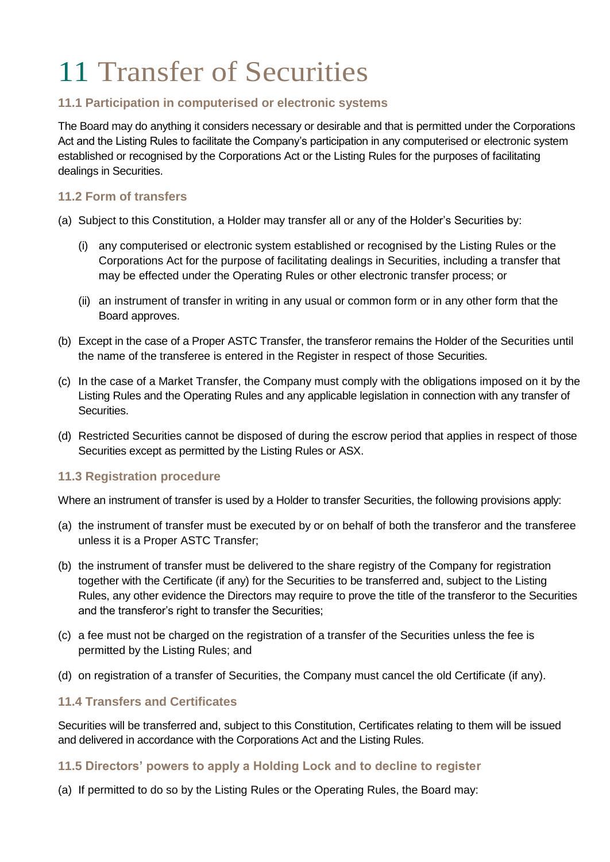# <span id="page-18-0"></span>11 Transfer of Securities

#### <span id="page-18-1"></span>**11.1 Participation in computerised or electronic systems**

The Board may do anything it considers necessary or desirable and that is permitted under the Corporations Act and the Listing Rules to facilitate the Company's participation in any computerised or electronic system established or recognised by the Corporations Act or the Listing Rules for the purposes of facilitating dealings in Securities.

#### <span id="page-18-2"></span>**11.2 Form of transfers**

- (a) Subject to this Constitution, a Holder may transfer all or any of the Holder's Securities by:
	- (i) any computerised or electronic system established or recognised by the Listing Rules or the Corporations Act for the purpose of facilitating dealings in Securities, including a transfer that may be effected under the Operating Rules or other electronic transfer process; or
	- (ii) an instrument of transfer in writing in any usual or common form or in any other form that the Board approves.
- (b) Except in the case of a Proper ASTC Transfer, the transferor remains the Holder of the Securities until the name of the transferee is entered in the Register in respect of those Securities.
- (c) In the case of a Market Transfer, the Company must comply with the obligations imposed on it by the Listing Rules and the Operating Rules and any applicable legislation in connection with any transfer of Securities.
- (d) Restricted Securities cannot be disposed of during the escrow period that applies in respect of those Securities except as permitted by the Listing Rules or ASX.

#### <span id="page-18-3"></span>**11.3 Registration procedure**

Where an instrument of transfer is used by a Holder to transfer Securities, the following provisions apply:

- (a) the instrument of transfer must be executed by or on behalf of both the transferor and the transferee unless it is a Proper ASTC Transfer;
- (b) the instrument of transfer must be delivered to the share registry of the Company for registration together with the Certificate (if any) for the Securities to be transferred and, subject to the Listing Rules, any other evidence the Directors may require to prove the title of the transferor to the Securities and the transferor's right to transfer the Securities;
- (c) a fee must not be charged on the registration of a transfer of the Securities unless the fee is permitted by the Listing Rules; and
- (d) on registration of a transfer of Securities, the Company must cancel the old Certificate (if any).

#### <span id="page-18-4"></span>**11.4 Transfers and Certificates**

Securities will be transferred and, subject to this Constitution, Certificates relating to them will be issued and delivered in accordance with the Corporations Act and the Listing Rules.

#### <span id="page-18-5"></span>**11.5 Directors' powers to apply a Holding Lock and to decline to register**

(a) If permitted to do so by the Listing Rules or the Operating Rules, the Board may: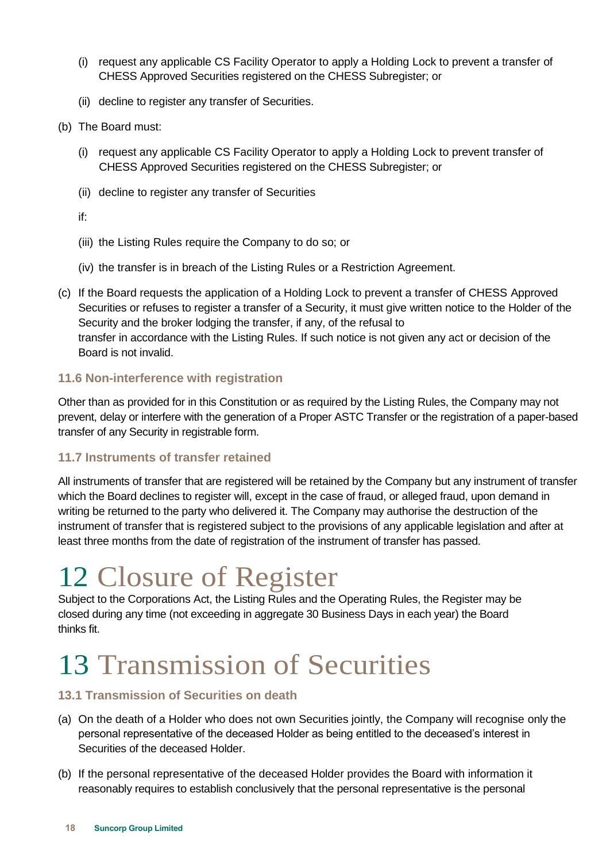- (i) request any applicable CS Facility Operator to apply a Holding Lock to prevent a transfer of CHESS Approved Securities registered on the CHESS Subregister; or
- (ii) decline to register any transfer of Securities.
- (b) The Board must:
	- (i) request any applicable CS Facility Operator to apply a Holding Lock to prevent transfer of CHESS Approved Securities registered on the CHESS Subregister; or
	- (ii) decline to register any transfer of Securities
	- if:
	- (iii) the Listing Rules require the Company to do so; or
	- (iv) the transfer is in breach of the Listing Rules or a Restriction Agreement.
- (c) If the Board requests the application of a Holding Lock to prevent a transfer of CHESS Approved Securities or refuses to register a transfer of a Security, it must give written notice to the Holder of the Security and the broker lodging the transfer, if any, of the refusal to transfer in accordance with the Listing Rules. If such notice is not given any act or decision of the Board is not invalid.

#### <span id="page-19-0"></span>**11.6 Non-interference with registration**

Other than as provided for in this Constitution or as required by the Listing Rules, the Company may not prevent, delay or interfere with the generation of a Proper ASTC Transfer or the registration of a paper-based transfer of any Security in registrable form.

#### <span id="page-19-1"></span>**11.7 Instruments of transfer retained**

All instruments of transfer that are registered will be retained by the Company but any instrument of transfer which the Board declines to register will, except in the case of fraud, or alleged fraud, upon demand in writing be returned to the party who delivered it. The Company may authorise the destruction of the instrument of transfer that is registered subject to the provisions of any applicable legislation and after at least three months from the date of registration of the instrument of transfer has passed.

### <span id="page-19-2"></span>12 Closure of Register

Subject to the Corporations Act, the Listing Rules and the Operating Rules, the Register may be closed during any time (not exceeding in aggregate 30 Business Days in each year) the Board thinks fit.

### <span id="page-19-3"></span>13 Transmission of Securities

#### <span id="page-19-4"></span>**13.1 Transmission of Securities on death**

- (a) On the death of a Holder who does not own Securities jointly, the Company will recognise only the personal representative of the deceased Holder as being entitled to the deceased's interest in Securities of the deceased Holder.
- (b) If the personal representative of the deceased Holder provides the Board with information it reasonably requires to establish conclusively that the personal representative is the personal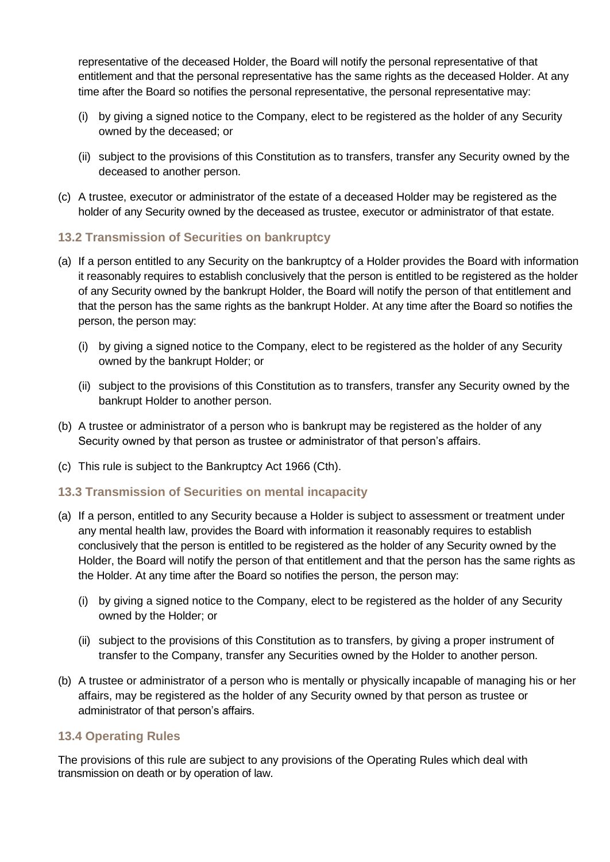representative of the deceased Holder, the Board will notify the personal representative of that entitlement and that the personal representative has the same rights as the deceased Holder. At any time after the Board so notifies the personal representative, the personal representative may:

- (i) by giving a signed notice to the Company, elect to be registered as the holder of any Security owned by the deceased; or
- (ii) subject to the provisions of this Constitution as to transfers, transfer any Security owned by the deceased to another person.
- (c) A trustee, executor or administrator of the estate of a deceased Holder may be registered as the holder of any Security owned by the deceased as trustee, executor or administrator of that estate.

#### <span id="page-20-0"></span>**13.2 Transmission of Securities on bankruptcy**

- (a) If a person entitled to any Security on the bankruptcy of a Holder provides the Board with information it reasonably requires to establish conclusively that the person is entitled to be registered as the holder of any Security owned by the bankrupt Holder, the Board will notify the person of that entitlement and that the person has the same rights as the bankrupt Holder. At any time after the Board so notifies the person, the person may:
	- (i) by giving a signed notice to the Company, elect to be registered as the holder of any Security owned by the bankrupt Holder; or
	- (ii) subject to the provisions of this Constitution as to transfers, transfer any Security owned by the bankrupt Holder to another person.
- (b) A trustee or administrator of a person who is bankrupt may be registered as the holder of any Security owned by that person as trustee or administrator of that person's affairs.
- (c) This rule is subject to the Bankruptcy Act 1966 (Cth).

#### <span id="page-20-1"></span>**13.3 Transmission of Securities on mental incapacity**

- (a) If a person, entitled to any Security because a Holder is subject to assessment or treatment under any mental health law, provides the Board with information it reasonably requires to establish conclusively that the person is entitled to be registered as the holder of any Security owned by the Holder, the Board will notify the person of that entitlement and that the person has the same rights as the Holder. At any time after the Board so notifies the person, the person may:
	- (i) by giving a signed notice to the Company, elect to be registered as the holder of any Security owned by the Holder; or
	- (ii) subject to the provisions of this Constitution as to transfers, by giving a proper instrument of transfer to the Company, transfer any Securities owned by the Holder to another person.
- (b) A trustee or administrator of a person who is mentally or physically incapable of managing his or her affairs, may be registered as the holder of any Security owned by that person as trustee or administrator of that person's affairs.

#### <span id="page-20-2"></span>**13.4 Operating Rules**

The provisions of this rule are subject to any provisions of the Operating Rules which deal with transmission on death or by operation of law.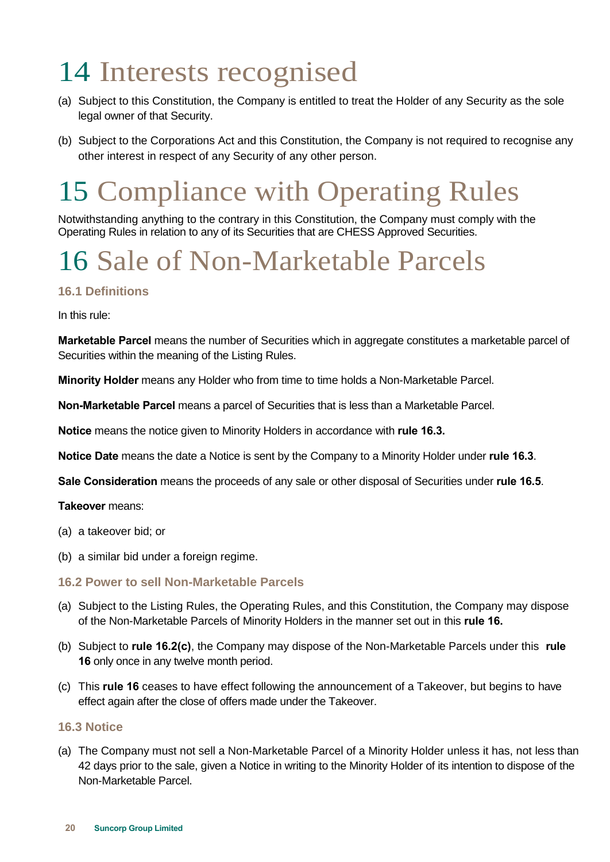# <span id="page-21-0"></span>14 Interests recognised

- (a) Subject to this Constitution, the Company is entitled to treat the Holder of any Security as the sole legal owner of that Security.
- (b) Subject to the Corporations Act and this Constitution, the Company is not required to recognise any other interest in respect of any Security of any other person.

# <span id="page-21-1"></span>15 Compliance with Operating Rules

Notwithstanding anything to the contrary in this Constitution, the Company must comply with the Operating Rules in relation to any of its Securities that are CHESS Approved Securities.

# <span id="page-21-2"></span>16 Sale of Non-Marketable Parcels

#### <span id="page-21-3"></span>**16.1 Definitions**

In this rule:

**Marketable Parcel** means the number of Securities which in aggregate constitutes a marketable parcel of Securities within the meaning of the Listing Rules.

**Minority Holder** means any Holder who from time to time holds a Non-Marketable Parcel.

**Non-Marketable Parcel** means a parcel of Securities that is less than a Marketable Parcel.

**Notice** means the notice given to Minority Holders in accordance with **rule [16.3.](#page-21-5)** 

**Notice Date** means the date a Notice is sent by the Company to a Minority Holder under **rule [16.3](#page-21-5)**.

**Sale Consideration** means the proceeds of any sale or other disposal of Securities under **rule [16.5](#page-22-1)**.

**Takeover** means:

- (a) a takeover bid; or
- (b) a similar bid under a foreign regime.

#### <span id="page-21-4"></span>**16.2 Power to sell Non-Marketable Parcels**

- (a) Subject to the Listing Rules, the Operating Rules, and this Constitution, the Company may dispose of the Non-Marketable Parcels of Minority Holders in the manner set out in this **rule [16.](#page-21-2)**
- (b) Subject to **rule [16.2\(c\)](#page-21-6)**, the Company may dispose of the Non-Marketable Parcels under this **rule [16](#page-21-2)** only once in any twelve month period.
- <span id="page-21-6"></span>(c) This **rule [16](#page-21-2)** ceases to have effect following the announcement of a Takeover, but begins to have effect again after the close of offers made under the Takeover.

#### <span id="page-21-5"></span>**16.3 Notice**

(a) The Company must not sell a Non-Marketable Parcel of a Minority Holder unless it has, not less than 42 days prior to the sale, given a Notice in writing to the Minority Holder of its intention to dispose of the Non-Marketable Parcel.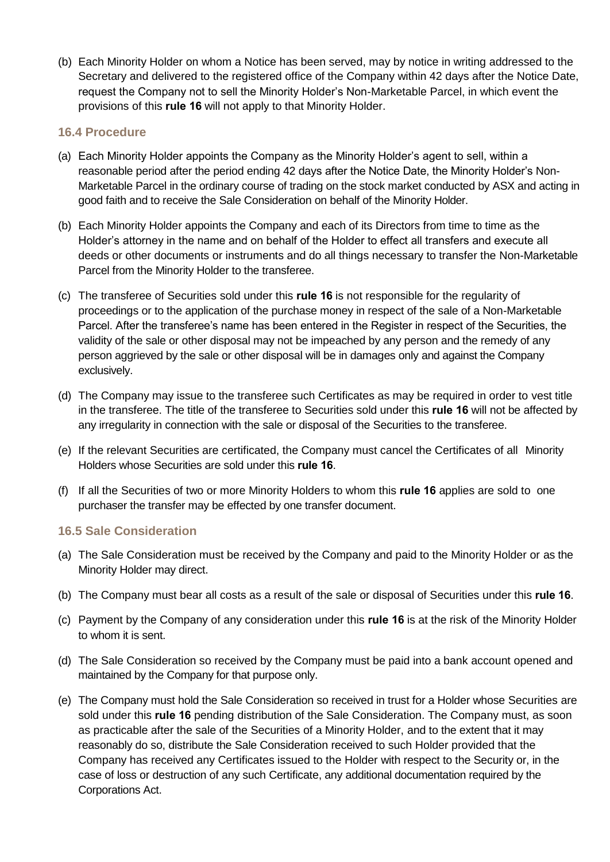(b) Each Minority Holder on whom a Notice has been served, may by notice in writing addressed to the Secretary and delivered to the registered office of the Company within 42 days after the Notice Date, request the Company not to sell the Minority Holder's Non-Marketable Parcel, in which event the provisions of this **rule [16](#page-21-2)** will not apply to that Minority Holder.

#### <span id="page-22-0"></span>**16.4 Procedure**

- (a) Each Minority Holder appoints the Company as the Minority Holder's agent to sell, within a reasonable period after the period ending 42 days after the Notice Date, the Minority Holder's Non-Marketable Parcel in the ordinary course of trading on the stock market conducted by ASX and acting in good faith and to receive the Sale Consideration on behalf of the Minority Holder.
- (b) Each Minority Holder appoints the Company and each of its Directors from time to time as the Holder's attorney in the name and on behalf of the Holder to effect all transfers and execute all deeds or other documents or instruments and do all things necessary to transfer the Non-Marketable Parcel from the Minority Holder to the transferee.
- (c) The transferee of Securities sold under this **rule [16](#page-21-2)** is not responsible for the regularity of proceedings or to the application of the purchase money in respect of the sale of a Non-Marketable Parcel. After the transferee's name has been entered in the Register in respect of the Securities, the validity of the sale or other disposal may not be impeached by any person and the remedy of any person aggrieved by the sale or other disposal will be in damages only and against the Company exclusively.
- (d) The Company may issue to the transferee such Certificates as may be required in order to vest title in the transferee. The title of the transferee to Securities sold under this **rule [16](#page-21-2)** will not be affected by any irregularity in connection with the sale or disposal of the Securities to the transferee.
- (e) If the relevant Securities are certificated, the Company must cancel the Certificates of all Minority Holders whose Securities are sold under this **rule [16](#page-21-2)**.
- (f) If all the Securities of two or more Minority Holders to whom this **rule [16](#page-21-2)** applies are sold to one purchaser the transfer may be effected by one transfer document.

#### <span id="page-22-1"></span>**16.5 Sale Consideration**

- (a) The Sale Consideration must be received by the Company and paid to the Minority Holder or as the Minority Holder may direct.
- (b) The Company must bear all costs as a result of the sale or disposal of Securities under this **rul[e 16](#page-21-2)**.
- (c) Payment by the Company of any consideration under this **rule [16](#page-21-2)** is at the risk of the Minority Holder to whom it is sent.
- (d) The Sale Consideration so received by the Company must be paid into a bank account opened and maintained by the Company for that purpose only.
- (e) The Company must hold the Sale Consideration so received in trust for a Holder whose Securities are sold under this **rule [16](#page-21-2)** pending distribution of the Sale Consideration. The Company must, as soon as practicable after the sale of the Securities of a Minority Holder, and to the extent that it may reasonably do so, distribute the Sale Consideration received to such Holder provided that the Company has received any Certificates issued to the Holder with respect to the Security or, in the case of loss or destruction of any such Certificate, any additional documentation required by the Corporations Act.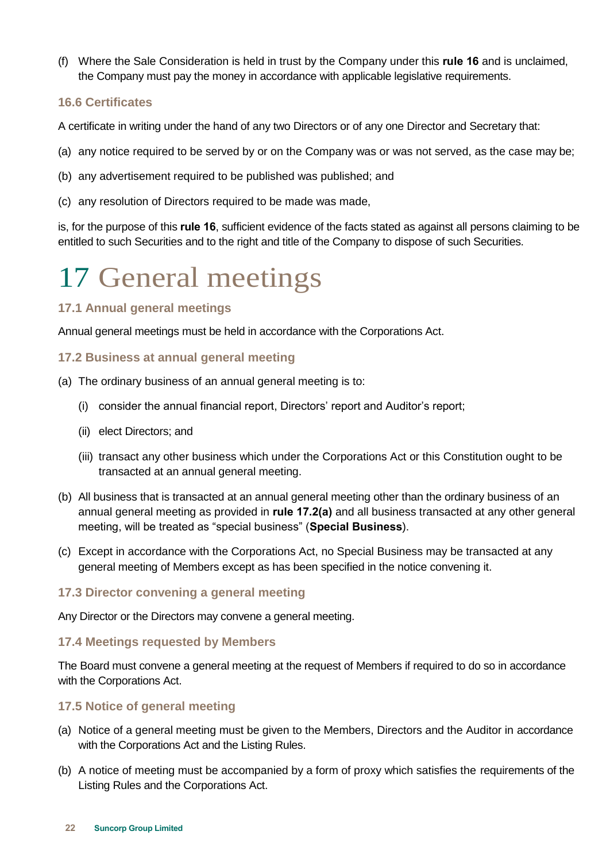(f) Where the Sale Consideration is held in trust by the Company under this **rule [16](#page-21-2)** and is unclaimed, the Company must pay the money in accordance with applicable legislative requirements.

#### <span id="page-23-0"></span>**16.6 Certificates**

A certificate in writing under the hand of any two Directors or of any one Director and Secretary that:

- (a) any notice required to be served by or on the Company was or was not served, as the case may be;
- (b) any advertisement required to be published was published; and
- (c) any resolution of Directors required to be made was made,

is, for the purpose of this **rule [16](#page-21-2)**, sufficient evidence of the facts stated as against all persons claiming to be entitled to such Securities and to the right and title of the Company to dispose of such Securities.

### <span id="page-23-1"></span>17 General meetings

#### <span id="page-23-2"></span>**17.1 Annual general meetings**

Annual general meetings must be held in accordance with the Corporations Act.

#### <span id="page-23-3"></span>**17.2 Business at annual general meeting**

- <span id="page-23-7"></span>(a) The ordinary business of an annual general meeting is to:
	- (i) consider the annual financial report, Directors' report and Auditor's report;
	- (ii) elect Directors; and
	- (iii) transact any other business which under the Corporations Act or this Constitution ought to be transacted at an annual general meeting.
- (b) All business that is transacted at an annual general meeting other than the ordinary business of an annual general meeting as provided in **rule [17.2\(a\)](#page-23-7)** and all business transacted at any other general meeting, will be treated as "special business" (**Special Business**).
- (c) Except in accordance with the Corporations Act, no Special Business may be transacted at any general meeting of Members except as has been specified in the notice convening it.

#### <span id="page-23-4"></span>**17.3 Director convening a general meeting**

Any Director or the Directors may convene a general meeting.

#### <span id="page-23-5"></span>**17.4 Meetings requested by Members**

The Board must convene a general meeting at the request of Members if required to do so in accordance with the Corporations Act.

#### <span id="page-23-6"></span>**17.5 Notice of general meeting**

- (a) Notice of a general meeting must be given to the Members, Directors and the Auditor in accordance with the Corporations Act and the Listing Rules.
- (b) A notice of meeting must be accompanied by a form of proxy which satisfies the requirements of the Listing Rules and the Corporations Act.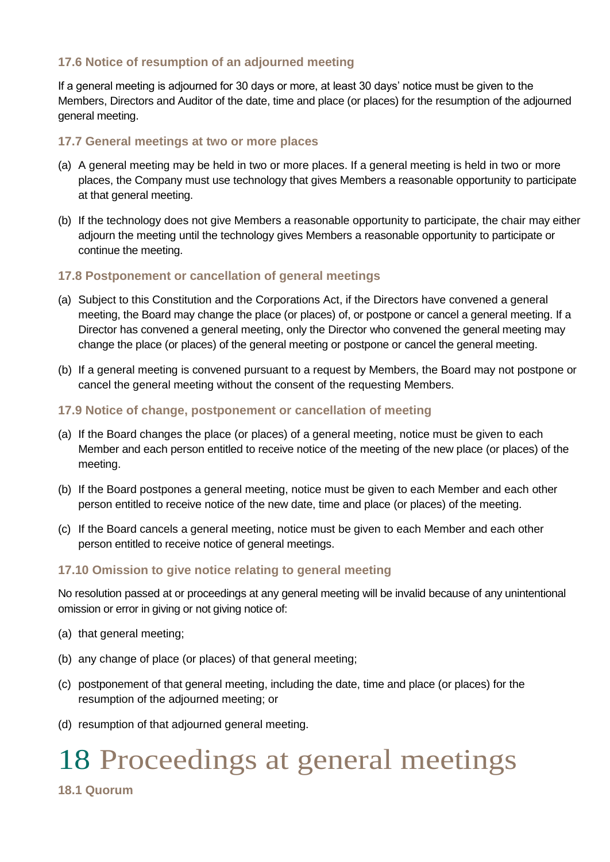#### <span id="page-24-0"></span>**17.6 Notice of resumption of an adjourned meeting**

If a general meeting is adjourned for 30 days or more, at least 30 days' notice must be given to the Members, Directors and Auditor of the date, time and place (or places) for the resumption of the adjourned general meeting.

#### <span id="page-24-1"></span>**17.7 General meetings at two or more places**

- (a) A general meeting may be held in two or more places. If a general meeting is held in two or more places, the Company must use technology that gives Members a reasonable opportunity to participate at that general meeting.
- (b) If the technology does not give Members a reasonable opportunity to participate, the chair may either adjourn the meeting until the technology gives Members a reasonable opportunity to participate or continue the meeting.

#### <span id="page-24-2"></span>**17.8 Postponement or cancellation of general meetings**

- (a) Subject to this Constitution and the Corporations Act, if the Directors have convened a general meeting, the Board may change the place (or places) of, or postpone or cancel a general meeting. If a Director has convened a general meeting, only the Director who convened the general meeting may change the place (or places) of the general meeting or postpone or cancel the general meeting.
- (b) If a general meeting is convened pursuant to a request by Members, the Board may not postpone or cancel the general meeting without the consent of the requesting Members.
- <span id="page-24-3"></span>**17.9 Notice of change, postponement or cancellation of meeting**
- (a) If the Board changes the place (or places) of a general meeting, notice must be given to each Member and each person entitled to receive notice of the meeting of the new place (or places) of the meeting.
- (b) If the Board postpones a general meeting, notice must be given to each Member and each other person entitled to receive notice of the new date, time and place (or places) of the meeting.
- (c) If the Board cancels a general meeting, notice must be given to each Member and each other person entitled to receive notice of general meetings.

#### <span id="page-24-4"></span>**17.10 Omission to give notice relating to general meeting**

No resolution passed at or proceedings at any general meeting will be invalid because of any unintentional omission or error in giving or not giving notice of:

- (a) that general meeting;
- (b) any change of place (or places) of that general meeting;
- (c) postponement of that general meeting, including the date, time and place (or places) for the resumption of the adjourned meeting; or
- (d) resumption of that adjourned general meeting.

### <span id="page-24-5"></span>18 Proceedings at general meetings

<span id="page-24-6"></span>**18.1 Quorum**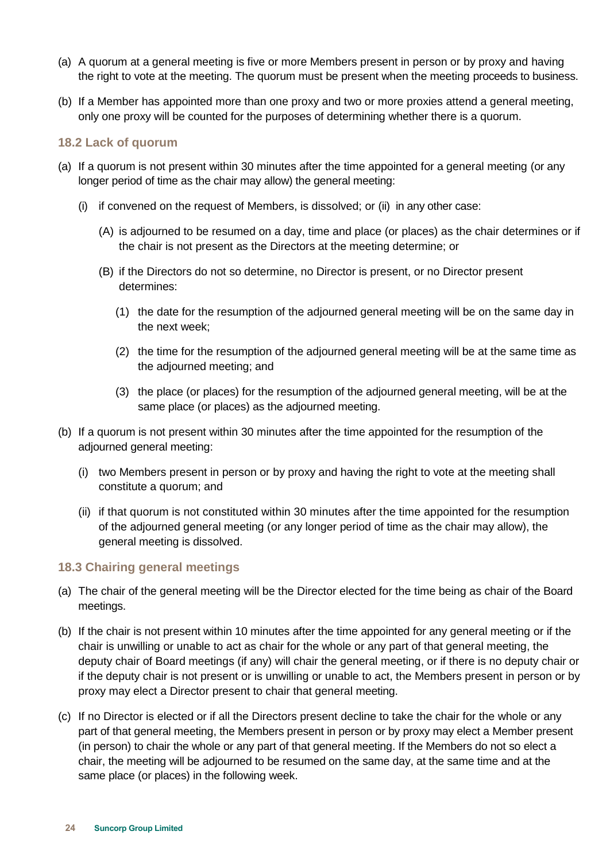- (a) A quorum at a general meeting is five or more Members present in person or by proxy and having the right to vote at the meeting. The quorum must be present when the meeting proceeds to business.
- (b) If a Member has appointed more than one proxy and two or more proxies attend a general meeting, only one proxy will be counted for the purposes of determining whether there is a quorum.

#### <span id="page-25-0"></span>**18.2 Lack of quorum**

- (a) If a quorum is not present within 30 minutes after the time appointed for a general meeting (or any longer period of time as the chair may allow) the general meeting:
	- (i) if convened on the request of Members, is dissolved; or (ii) in any other case:
		- (A) is adjourned to be resumed on a day, time and place (or places) as the chair determines or if the chair is not present as the Directors at the meeting determine; or
		- (B) if the Directors do not so determine, no Director is present, or no Director present determines:
			- (1) the date for the resumption of the adjourned general meeting will be on the same day in the next week;
			- (2) the time for the resumption of the adjourned general meeting will be at the same time as the adjourned meeting; and
			- (3) the place (or places) for the resumption of the adjourned general meeting, will be at the same place (or places) as the adjourned meeting.
- (b) If a quorum is not present within 30 minutes after the time appointed for the resumption of the adjourned general meeting:
	- (i) two Members present in person or by proxy and having the right to vote at the meeting shall constitute a quorum; and
	- (ii) if that quorum is not constituted within 30 minutes after the time appointed for the resumption of the adjourned general meeting (or any longer period of time as the chair may allow), the general meeting is dissolved.

#### <span id="page-25-1"></span>**18.3 Chairing general meetings**

- (a) The chair of the general meeting will be the Director elected for the time being as chair of the Board meetings.
- (b) If the chair is not present within 10 minutes after the time appointed for any general meeting or if the chair is unwilling or unable to act as chair for the whole or any part of that general meeting, the deputy chair of Board meetings (if any) will chair the general meeting, or if there is no deputy chair or if the deputy chair is not present or is unwilling or unable to act, the Members present in person or by proxy may elect a Director present to chair that general meeting.
- (c) If no Director is elected or if all the Directors present decline to take the chair for the whole or any part of that general meeting, the Members present in person or by proxy may elect a Member present (in person) to chair the whole or any part of that general meeting. If the Members do not so elect a chair, the meeting will be adjourned to be resumed on the same day, at the same time and at the same place (or places) in the following week.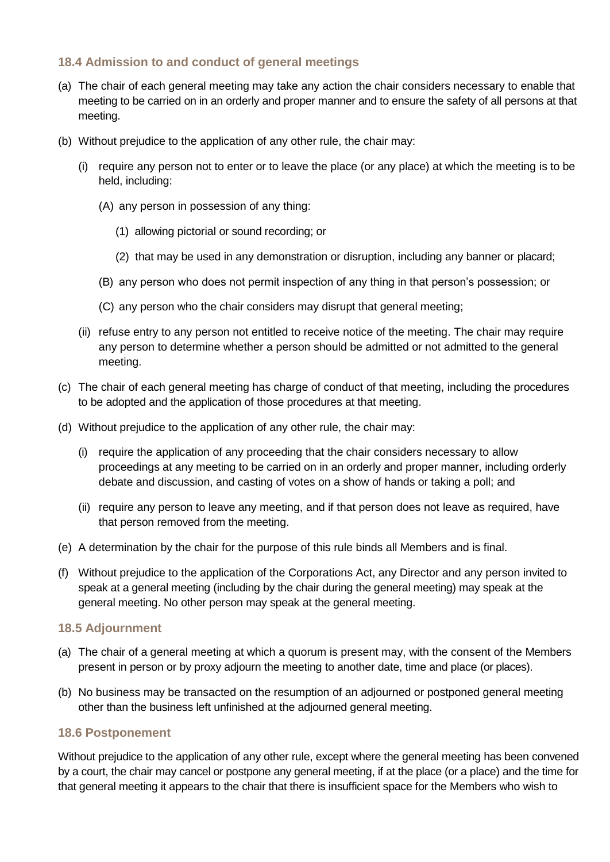#### <span id="page-26-0"></span>**18.4 Admission to and conduct of general meetings**

- (a) The chair of each general meeting may take any action the chair considers necessary to enable that meeting to be carried on in an orderly and proper manner and to ensure the safety of all persons at that meeting.
- (b) Without prejudice to the application of any other rule, the chair may:
	- (i) require any person not to enter or to leave the place (or any place) at which the meeting is to be held, including:
		- (A) any person in possession of any thing:
			- (1) allowing pictorial or sound recording; or
			- (2) that may be used in any demonstration or disruption, including any banner or placard;
		- (B) any person who does not permit inspection of any thing in that person's possession; or
		- (C) any person who the chair considers may disrupt that general meeting;
	- (ii) refuse entry to any person not entitled to receive notice of the meeting. The chair may require any person to determine whether a person should be admitted or not admitted to the general meeting.
- (c) The chair of each general meeting has charge of conduct of that meeting, including the procedures to be adopted and the application of those procedures at that meeting.
- (d) Without prejudice to the application of any other rule, the chair may:
	- (i) require the application of any proceeding that the chair considers necessary to allow proceedings at any meeting to be carried on in an orderly and proper manner, including orderly debate and discussion, and casting of votes on a show of hands or taking a poll; and
	- (ii) require any person to leave any meeting, and if that person does not leave as required, have that person removed from the meeting.
- (e) A determination by the chair for the purpose of this rule binds all Members and is final.
- (f) Without prejudice to the application of the Corporations Act, any Director and any person invited to speak at a general meeting (including by the chair during the general meeting) may speak at the general meeting. No other person may speak at the general meeting.

#### <span id="page-26-1"></span>**18.5 Adjournment**

- (a) The chair of a general meeting at which a quorum is present may, with the consent of the Members present in person or by proxy adjourn the meeting to another date, time and place (or places).
- (b) No business may be transacted on the resumption of an adjourned or postponed general meeting other than the business left unfinished at the adjourned general meeting.

#### <span id="page-26-2"></span>**18.6 Postponement**

Without prejudice to the application of any other rule, except where the general meeting has been convened by a court, the chair may cancel or postpone any general meeting, if at the place (or a place) and the time for that general meeting it appears to the chair that there is insufficient space for the Members who wish to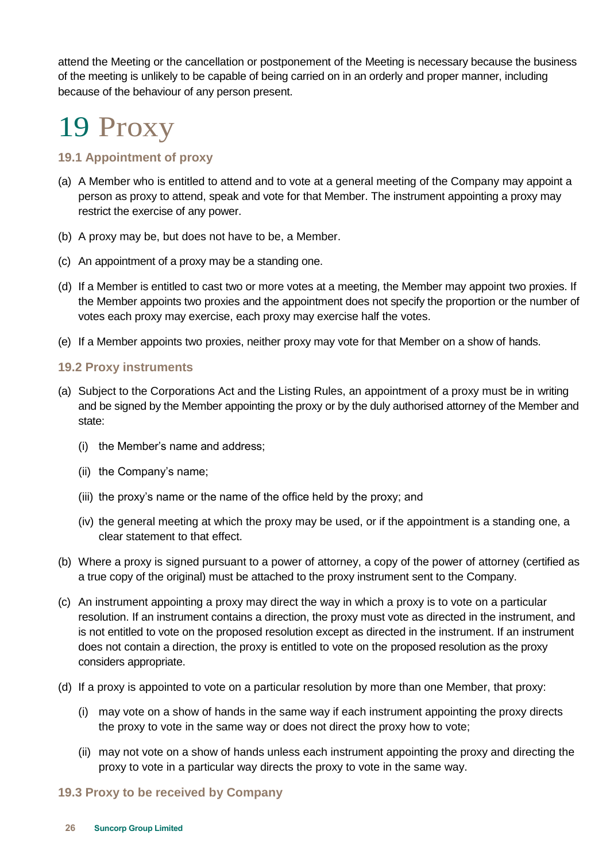attend the Meeting or the cancellation or postponement of the Meeting is necessary because the business of the meeting is unlikely to be capable of being carried on in an orderly and proper manner, including because of the behaviour of any person present.

# <span id="page-27-0"></span>19 Proxy

#### <span id="page-27-1"></span>**19.1 Appointment of proxy**

- (a) A Member who is entitled to attend and to vote at a general meeting of the Company may appoint a person as proxy to attend, speak and vote for that Member. The instrument appointing a proxy may restrict the exercise of any power.
- (b) A proxy may be, but does not have to be, a Member.
- (c) An appointment of a proxy may be a standing one.
- (d) If a Member is entitled to cast two or more votes at a meeting, the Member may appoint two proxies. If the Member appoints two proxies and the appointment does not specify the proportion or the number of votes each proxy may exercise, each proxy may exercise half the votes.
- (e) If a Member appoints two proxies, neither proxy may vote for that Member on a show of hands.

#### <span id="page-27-2"></span>**19.2 Proxy instruments**

- (a) Subject to the Corporations Act and the Listing Rules, an appointment of a proxy must be in writing and be signed by the Member appointing the proxy or by the duly authorised attorney of the Member and state:
	- (i) the Member's name and address;
	- (ii) the Company's name;
	- (iii) the proxy's name or the name of the office held by the proxy; and
	- (iv) the general meeting at which the proxy may be used, or if the appointment is a standing one, a clear statement to that effect.
- (b) Where a proxy is signed pursuant to a power of attorney, a copy of the power of attorney (certified as a true copy of the original) must be attached to the proxy instrument sent to the Company.
- (c) An instrument appointing a proxy may direct the way in which a proxy is to vote on a particular resolution. If an instrument contains a direction, the proxy must vote as directed in the instrument, and is not entitled to vote on the proposed resolution except as directed in the instrument. If an instrument does not contain a direction, the proxy is entitled to vote on the proposed resolution as the proxy considers appropriate.
- (d) If a proxy is appointed to vote on a particular resolution by more than one Member, that proxy:
	- (i) may vote on a show of hands in the same way if each instrument appointing the proxy directs the proxy to vote in the same way or does not direct the proxy how to vote;
	- (ii) may not vote on a show of hands unless each instrument appointing the proxy and directing the proxy to vote in a particular way directs the proxy to vote in the same way.

#### <span id="page-27-3"></span>**19.3 Proxy to be received by Company**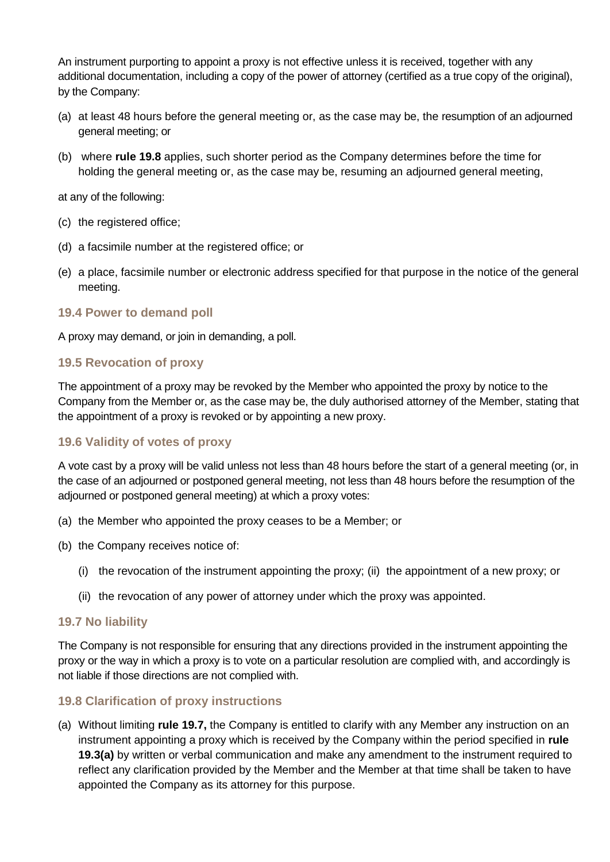An instrument purporting to appoint a proxy is not effective unless it is received, together with any additional documentation, including a copy of the power of attorney (certified as a true copy of the original), by the Company:

- <span id="page-28-5"></span>(a) at least 48 hours before the general meeting or, as the case may be, the resumption of an adjourned general meeting; or
- <span id="page-28-6"></span>(b) where **rule [19.8](#page-28-4)** applies, such shorter period as the Company determines before the time for holding the general meeting or, as the case may be, resuming an adjourned general meeting,

at any of the following:

- (c) the registered office;
- (d) a facsimile number at the registered office; or
- (e) a place, facsimile number or electronic address specified for that purpose in the notice of the general meeting.

#### <span id="page-28-0"></span>**19.4 Power to demand poll**

A proxy may demand, or join in demanding, a poll.

#### <span id="page-28-1"></span>**19.5 Revocation of proxy**

The appointment of a proxy may be revoked by the Member who appointed the proxy by notice to the Company from the Member or, as the case may be, the duly authorised attorney of the Member, stating that the appointment of a proxy is revoked or by appointing a new proxy.

#### <span id="page-28-2"></span>**19.6 Validity of votes of proxy**

A vote cast by a proxy will be valid unless not less than 48 hours before the start of a general meeting (or, in the case of an adjourned or postponed general meeting, not less than 48 hours before the resumption of the adjourned or postponed general meeting) at which a proxy votes:

- (a) the Member who appointed the proxy ceases to be a Member; or
- (b) the Company receives notice of:
	- (i) the revocation of the instrument appointing the proxy; (ii) the appointment of a new proxy; or
	- (ii) the revocation of any power of attorney under which the proxy was appointed.

#### <span id="page-28-3"></span>**19.7 No liability**

The Company is not responsible for ensuring that any directions provided in the instrument appointing the proxy or the way in which a proxy is to vote on a particular resolution are complied with, and accordingly is not liable if those directions are not complied with.

#### <span id="page-28-4"></span>**19.8 Clarification of proxy instructions**

(a) Without limiting **rule [19.7,](#page-28-3)** the Company is entitled to clarify with any Member any instruction on an instrument appointing a proxy which is received by the Company within the period specified in **rule [19.3\(a\)](#page-28-5)** by written or verbal communication and make any amendment to the instrument required to reflect any clarification provided by the Member and the Member at that time shall be taken to have appointed the Company as its attorney for this purpose.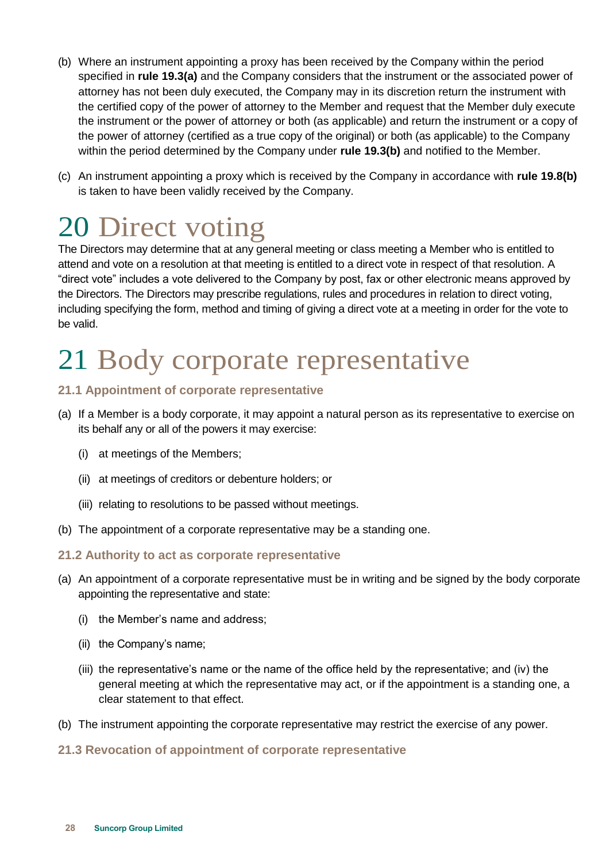- <span id="page-29-5"></span>(b) Where an instrument appointing a proxy has been received by the Company within the period specified in **rule [19.3\(a\)](#page-28-5)** and the Company considers that the instrument or the associated power of attorney has not been duly executed, the Company may in its discretion return the instrument with the certified copy of the power of attorney to the Member and request that the Member duly execute the instrument or the power of attorney or both (as applicable) and return the instrument or a copy of the power of attorney (certified as a true copy of the original) or both (as applicable) to the Company within the period determined by the Company under **rule [19.3\(b\)](#page-28-6)** and notified to the Member.
- (c) An instrument appointing a proxy which is received by the Company in accordance with **rule [19.8\(b\)](#page-29-5)** is taken to have been validly received by the Company.

### <span id="page-29-0"></span>20 Direct voting

The Directors may determine that at any general meeting or class meeting a Member who is entitled to attend and vote on a resolution at that meeting is entitled to a direct vote in respect of that resolution. A "direct vote" includes a vote delivered to the Company by post, fax or other electronic means approved by the Directors. The Directors may prescribe regulations, rules and procedures in relation to direct voting, including specifying the form, method and timing of giving a direct vote at a meeting in order for the vote to be valid.

# <span id="page-29-1"></span>21 Body corporate representative

#### <span id="page-29-2"></span>**21.1 Appointment of corporate representative**

- (a) If a Member is a body corporate, it may appoint a natural person as its representative to exercise on its behalf any or all of the powers it may exercise:
	- (i) at meetings of the Members;
	- (ii) at meetings of creditors or debenture holders; or
	- (iii) relating to resolutions to be passed without meetings.
- (b) The appointment of a corporate representative may be a standing one.

#### <span id="page-29-3"></span>**21.2 Authority to act as corporate representative**

- (a) An appointment of a corporate representative must be in writing and be signed by the body corporate appointing the representative and state:
	- (i) the Member's name and address;
	- (ii) the Company's name;
	- (iii) the representative's name or the name of the office held by the representative; and (iv) the general meeting at which the representative may act, or if the appointment is a standing one, a clear statement to that effect.
- (b) The instrument appointing the corporate representative may restrict the exercise of any power.

#### <span id="page-29-4"></span>**21.3 Revocation of appointment of corporate representative**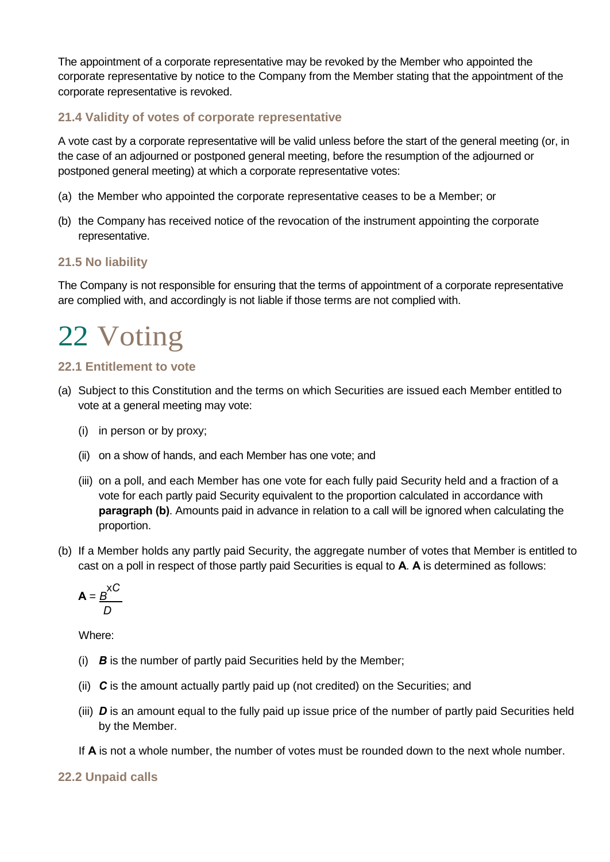The appointment of a corporate representative may be revoked by the Member who appointed the corporate representative by notice to the Company from the Member stating that the appointment of the corporate representative is revoked.

#### <span id="page-30-0"></span>**21.4 Validity of votes of corporate representative**

A vote cast by a corporate representative will be valid unless before the start of the general meeting (or, in the case of an adjourned or postponed general meeting, before the resumption of the adjourned or postponed general meeting) at which a corporate representative votes:

- (a) the Member who appointed the corporate representative ceases to be a Member; or
- (b) the Company has received notice of the revocation of the instrument appointing the corporate representative.

#### <span id="page-30-1"></span>**21.5 No liability**

The Company is not responsible for ensuring that the terms of appointment of a corporate representative are complied with, and accordingly is not liable if those terms are not complied with.

# <span id="page-30-2"></span>22 Voting

#### <span id="page-30-3"></span>**22.1 Entitlement to vote**

- (a) Subject to this Constitution and the terms on which Securities are issued each Member entitled to vote at a general meeting may vote:
	- (i) in person or by proxy;
	- (ii) on a show of hands, and each Member has one vote; and
	- (iii) on a poll, and each Member has one vote for each fully paid Security held and a fraction of a vote for each partly paid Security equivalent to the proportion calculated in accordance with **paragraph (b)**. Amounts paid in advance in relation to a call will be ignored when calculating the proportion.
- (b) If a Member holds any partly paid Security, the aggregate number of votes that Member is entitled to cast on a poll in respect of those partly paid Securities is equal to **A**. **A** is determined as follows:

$$
\mathbf{A} = \frac{B}{D} \times C
$$

Where:

- (i) *B* is the number of partly paid Securities held by the Member;
- (ii) *C* is the amount actually partly paid up (not credited) on the Securities; and
- (iii) *D* is an amount equal to the fully paid up issue price of the number of partly paid Securities held by the Member.
- If **A** is not a whole number, the number of votes must be rounded down to the next whole number.

#### <span id="page-30-4"></span>**22.2 Unpaid calls**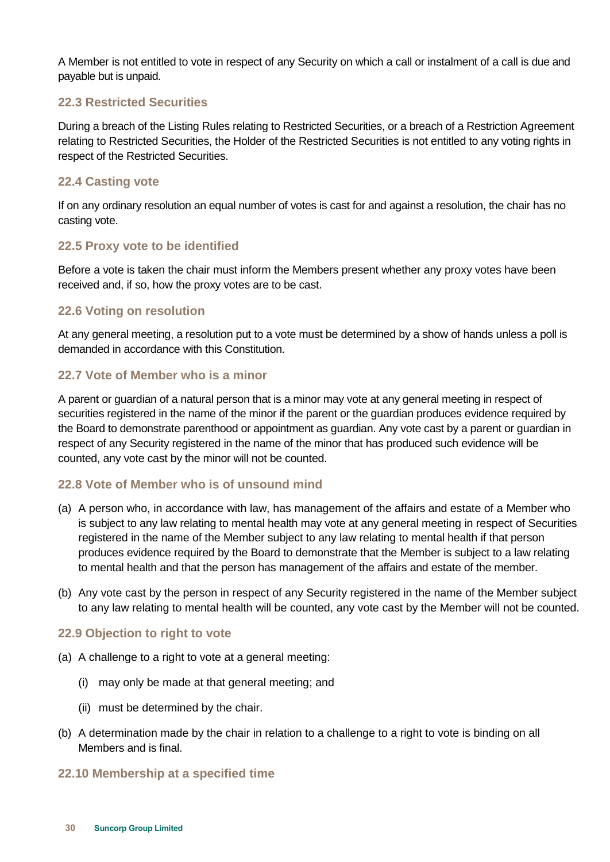A Member is not entitled to vote in respect of any Security on which a call or instalment of a call is due and payable but is unpaid.

#### <span id="page-31-0"></span>**22.3 Restricted Securities**

During a breach of the Listing Rules relating to Restricted Securities, or a breach of a Restriction Agreement relating to Restricted Securities, the Holder of the Restricted Securities is not entitled to any voting rights in respect of the Restricted Securities.

#### <span id="page-31-1"></span>**22.4 Casting vote**

If on any ordinary resolution an equal number of votes is cast for and against a resolution, the chair has no casting vote.

#### <span id="page-31-2"></span>**22.5 Proxy vote to be identified**

Before a vote is taken the chair must inform the Members present whether any proxy votes have been received and, if so, how the proxy votes are to be cast.

#### <span id="page-31-3"></span>**22.6 Voting on resolution**

At any general meeting, a resolution put to a vote must be determined by a show of hands unless a poll is demanded in accordance with this Constitution.

#### <span id="page-31-4"></span>**22.7 Vote of Member who is a minor**

A parent or guardian of a natural person that is a minor may vote at any general meeting in respect of securities registered in the name of the minor if the parent or the guardian produces evidence required by the Board to demonstrate parenthood or appointment as guardian. Any vote cast by a parent or guardian in respect of any Security registered in the name of the minor that has produced such evidence will be counted, any vote cast by the minor will not be counted.

#### <span id="page-31-5"></span>**22.8 Vote of Member who is of unsound mind**

- (a) A person who, in accordance with law, has management of the affairs and estate of a Member who is subject to any law relating to mental health may vote at any general meeting in respect of Securities registered in the name of the Member subject to any law relating to mental health if that person produces evidence required by the Board to demonstrate that the Member is subject to a law relating to mental health and that the person has management of the affairs and estate of the member.
- (b) Any vote cast by the person in respect of any Security registered in the name of the Member subject to any law relating to mental health will be counted, any vote cast by the Member will not be counted.

#### <span id="page-31-6"></span>**22.9 Objection to right to vote**

- (a) A challenge to a right to vote at a general meeting:
	- (i) may only be made at that general meeting; and
	- (ii) must be determined by the chair.
- (b) A determination made by the chair in relation to a challenge to a right to vote is binding on all Members and is final.

#### <span id="page-31-7"></span>**22.10 Membership at a specified time**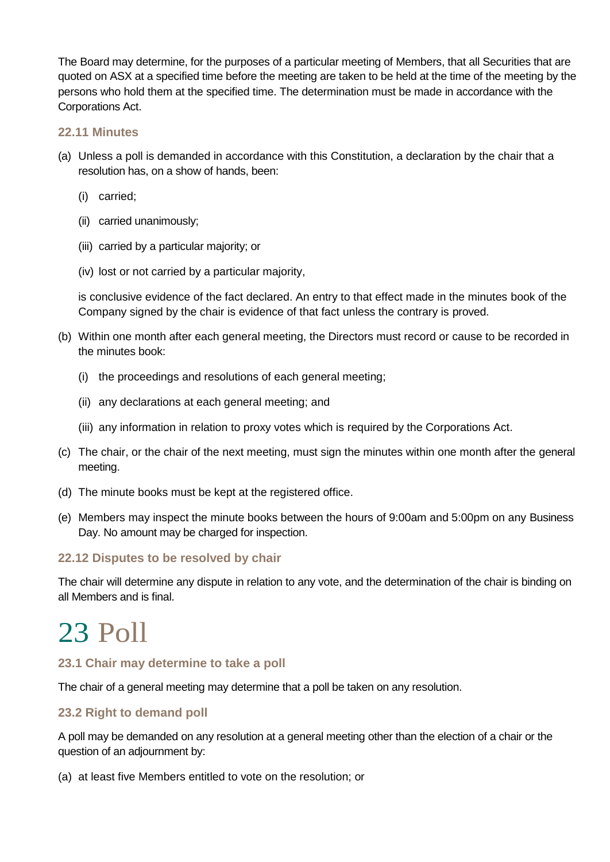The Board may determine, for the purposes of a particular meeting of Members, that all Securities that are quoted on ASX at a specified time before the meeting are taken to be held at the time of the meeting by the persons who hold them at the specified time. The determination must be made in accordance with the Corporations Act.

#### <span id="page-32-0"></span>**22.11 Minutes**

- (a) Unless a poll is demanded in accordance with this Constitution, a declaration by the chair that a resolution has, on a show of hands, been:
	- (i) carried;
	- (ii) carried unanimously;
	- (iii) carried by a particular majority; or
	- (iv) lost or not carried by a particular majority,

is conclusive evidence of the fact declared. An entry to that effect made in the minutes book of the Company signed by the chair is evidence of that fact unless the contrary is proved.

- (b) Within one month after each general meeting, the Directors must record or cause to be recorded in the minutes book:
	- (i) the proceedings and resolutions of each general meeting;
	- (ii) any declarations at each general meeting; and
	- (iii) any information in relation to proxy votes which is required by the Corporations Act.
- (c) The chair, or the chair of the next meeting, must sign the minutes within one month after the general meeting.
- (d) The minute books must be kept at the registered office.
- (e) Members may inspect the minute books between the hours of 9:00am and 5:00pm on any Business Day. No amount may be charged for inspection.

#### <span id="page-32-1"></span>**22.12 Disputes to be resolved by chair**

The chair will determine any dispute in relation to any vote, and the determination of the chair is binding on all Members and is final.

### <span id="page-32-2"></span>23 Poll

#### <span id="page-32-3"></span>**23.1 Chair may determine to take a poll**

The chair of a general meeting may determine that a poll be taken on any resolution.

#### <span id="page-32-4"></span>**23.2 Right to demand poll**

A poll may be demanded on any resolution at a general meeting other than the election of a chair or the question of an adjournment by:

(a) at least five Members entitled to vote on the resolution; or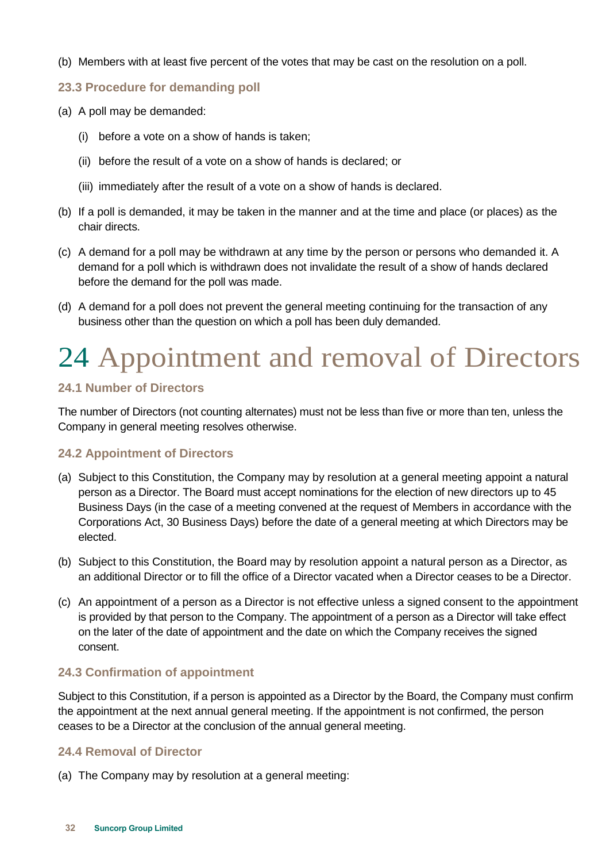- (b) Members with at least five percent of the votes that may be cast on the resolution on a poll.
- <span id="page-33-0"></span>**23.3 Procedure for demanding poll**
- (a) A poll may be demanded:
	- (i) before a vote on a show of hands is taken;
	- (ii) before the result of a vote on a show of hands is declared; or
	- (iii) immediately after the result of a vote on a show of hands is declared.
- (b) If a poll is demanded, it may be taken in the manner and at the time and place (or places) as the chair directs.
- (c) A demand for a poll may be withdrawn at any time by the person or persons who demanded it. A demand for a poll which is withdrawn does not invalidate the result of a show of hands declared before the demand for the poll was made.
- (d) A demand for a poll does not prevent the general meeting continuing for the transaction of any business other than the question on which a poll has been duly demanded.

### <span id="page-33-1"></span>24 Appointment and removal of Directors

#### <span id="page-33-2"></span>**24.1 Number of Directors**

The number of Directors (not counting alternates) must not be less than five or more than ten, unless the Company in general meeting resolves otherwise.

#### <span id="page-33-3"></span>**24.2 Appointment of Directors**

- (a) Subject to this Constitution, the Company may by resolution at a general meeting appoint a natural person as a Director. The Board must accept nominations for the election of new directors up to 45 Business Days (in the case of a meeting convened at the request of Members in accordance with the Corporations Act, 30 Business Days) before the date of a general meeting at which Directors may be elected.
- (b) Subject to this Constitution, the Board may by resolution appoint a natural person as a Director, as an additional Director or to fill the office of a Director vacated when a Director ceases to be a Director.
- (c) An appointment of a person as a Director is not effective unless a signed consent to the appointment is provided by that person to the Company. The appointment of a person as a Director will take effect on the later of the date of appointment and the date on which the Company receives the signed consent.

#### <span id="page-33-4"></span>**24.3 Confirmation of appointment**

Subject to this Constitution, if a person is appointed as a Director by the Board, the Company must confirm the appointment at the next annual general meeting. If the appointment is not confirmed, the person ceases to be a Director at the conclusion of the annual general meeting.

#### <span id="page-33-5"></span>**24.4 Removal of Director**

(a) The Company may by resolution at a general meeting: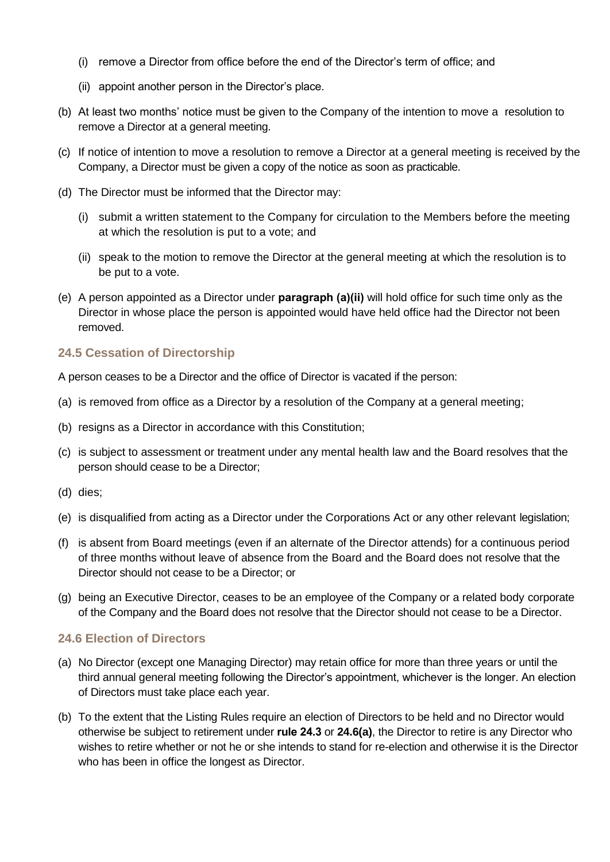- (i) remove a Director from office before the end of the Director's term of office; and
- (ii) appoint another person in the Director's place.
- (b) At least two months' notice must be given to the Company of the intention to move a resolution to remove a Director at a general meeting.
- (c) If notice of intention to move a resolution to remove a Director at a general meeting is received by the Company, a Director must be given a copy of the notice as soon as practicable.
- (d) The Director must be informed that the Director may:
	- (i) submit a written statement to the Company for circulation to the Members before the meeting at which the resolution is put to a vote; and
	- (ii) speak to the motion to remove the Director at the general meeting at which the resolution is to be put to a vote.
- (e) A person appointed as a Director under **paragraph (a)(ii)** will hold office for such time only as the Director in whose place the person is appointed would have held office had the Director not been removed.

#### <span id="page-34-0"></span>**24.5 Cessation of Directorship**

A person ceases to be a Director and the office of Director is vacated if the person:

- (a) is removed from office as a Director by a resolution of the Company at a general meeting;
- (b) resigns as a Director in accordance with this Constitution;
- (c) is subject to assessment or treatment under any mental health law and the Board resolves that the person should cease to be a Director;
- (d) dies;
- (e) is disqualified from acting as a Director under the Corporations Act or any other relevant legislation;
- (f) is absent from Board meetings (even if an alternate of the Director attends) for a continuous period of three months without leave of absence from the Board and the Board does not resolve that the Director should not cease to be a Director; or
- (g) being an Executive Director, ceases to be an employee of the Company or a related body corporate of the Company and the Board does not resolve that the Director should not cease to be a Director.

#### <span id="page-34-1"></span>**24.6 Election of Directors**

- <span id="page-34-2"></span>(a) No Director (except one Managing Director) may retain office for more than three years or until the third annual general meeting following the Director's appointment, whichever is the longer. An election of Directors must take place each year.
- (b) To the extent that the Listing Rules require an election of Directors to be held and no Director would otherwise be subject to retirement under **rule [24.3](#page-33-4)** or **[24.6\(a\)](#page-34-2)**, the Director to retire is any Director who wishes to retire whether or not he or she intends to stand for re-election and otherwise it is the Director who has been in office the longest as Director.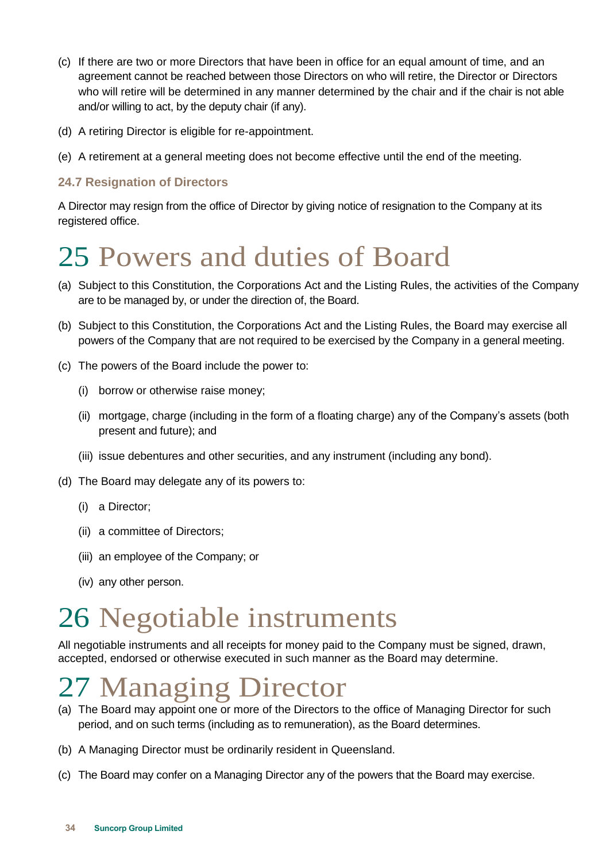- (c) If there are two or more Directors that have been in office for an equal amount of time, and an agreement cannot be reached between those Directors on who will retire, the Director or Directors who will retire will be determined in any manner determined by the chair and if the chair is not able and/or willing to act, by the deputy chair (if any).
- (d) A retiring Director is eligible for re-appointment.
- (e) A retirement at a general meeting does not become effective until the end of the meeting.

#### <span id="page-35-0"></span>**24.7 Resignation of Directors**

A Director may resign from the office of Director by giving notice of resignation to the Company at its registered office.

### <span id="page-35-1"></span>25 Powers and duties of Board

- (a) Subject to this Constitution, the Corporations Act and the Listing Rules, the activities of the Company are to be managed by, or under the direction of, the Board.
- (b) Subject to this Constitution, the Corporations Act and the Listing Rules, the Board may exercise all powers of the Company that are not required to be exercised by the Company in a general meeting.
- (c) The powers of the Board include the power to:
	- (i) borrow or otherwise raise money;
	- (ii) mortgage, charge (including in the form of a floating charge) any of the Company's assets (both present and future); and
	- (iii) issue debentures and other securities, and any instrument (including any bond).
- (d) The Board may delegate any of its powers to:
	- (i) a Director;
	- (ii) a committee of Directors;
	- (iii) an employee of the Company; or
	- (iv) any other person.

### <span id="page-35-2"></span>26 Negotiable instruments

All negotiable instruments and all receipts for money paid to the Company must be signed, drawn, accepted, endorsed or otherwise executed in such manner as the Board may determine.

### <span id="page-35-3"></span>27 Managing Director

- (a) The Board may appoint one or more of the Directors to the office of Managing Director for such period, and on such terms (including as to remuneration), as the Board determines.
- (b) A Managing Director must be ordinarily resident in Queensland.
- (c) The Board may confer on a Managing Director any of the powers that the Board may exercise.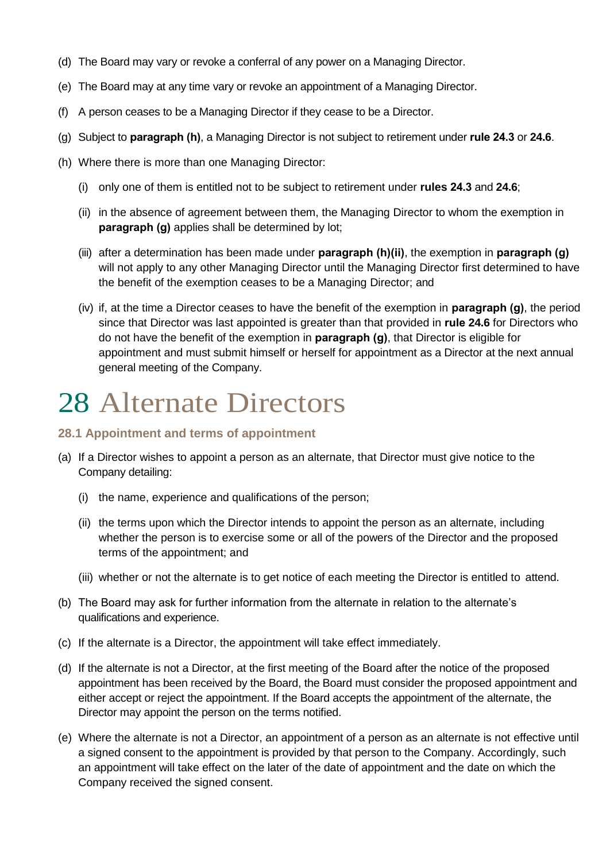- (d) The Board may vary or revoke a conferral of any power on a Managing Director.
- (e) The Board may at any time vary or revoke an appointment of a Managing Director.
- (f) A person ceases to be a Managing Director if they cease to be a Director.
- <span id="page-36-3"></span>(g) Subject to **paragraph [\(h\)](#page-36-2)**, a Managing Director is not subject to retirement under **rule [24.3](#page-33-4)** or **[24.6](#page-34-1)**.
- <span id="page-36-2"></span>(h) Where there is more than one Managing Director:
	- (i) only one of them is entitled not to be subject to retirement under **rules [24.3](#page-33-4)** and **[24.6](#page-34-1)**;
	- (ii) in the absence of agreement between them, the Managing Director to whom the exemption in **paragraph [\(g\)](#page-36-3)** applies shall be determined by lot;
	- (iii) after a determination has been made under **paragraph [\(h\)\(ii\)](#page-36-2)**, the exemption in **paragraph [\(g\)](#page-36-3)** will not apply to any other Managing Director until the Managing Director first determined to have the benefit of the exemption ceases to be a Managing Director; and
	- (iv) if, at the time a Director ceases to have the benefit of the exemption in **paragraph [\(g\)](#page-36-3)**, the period since that Director was last appointed is greater than that provided in **rule [24.6](#page-34-1)** for Directors who do not have the benefit of the exemption in **paragraph [\(g\)](#page-36-3)**, that Director is eligible for appointment and must submit himself or herself for appointment as a Director at the next annual general meeting of the Company.

### <span id="page-36-0"></span>28 Alternate Directors

#### <span id="page-36-1"></span>**28.1 Appointment and terms of appointment**

- (a) If a Director wishes to appoint a person as an alternate, that Director must give notice to the Company detailing:
	- (i) the name, experience and qualifications of the person;
	- (ii) the terms upon which the Director intends to appoint the person as an alternate, including whether the person is to exercise some or all of the powers of the Director and the proposed terms of the appointment; and
	- (iii) whether or not the alternate is to get notice of each meeting the Director is entitled to attend.
- (b) The Board may ask for further information from the alternate in relation to the alternate's qualifications and experience.
- (c) If the alternate is a Director, the appointment will take effect immediately.
- (d) If the alternate is not a Director, at the first meeting of the Board after the notice of the proposed appointment has been received by the Board, the Board must consider the proposed appointment and either accept or reject the appointment. If the Board accepts the appointment of the alternate, the Director may appoint the person on the terms notified.
- (e) Where the alternate is not a Director, an appointment of a person as an alternate is not effective until a signed consent to the appointment is provided by that person to the Company. Accordingly, such an appointment will take effect on the later of the date of appointment and the date on which the Company received the signed consent.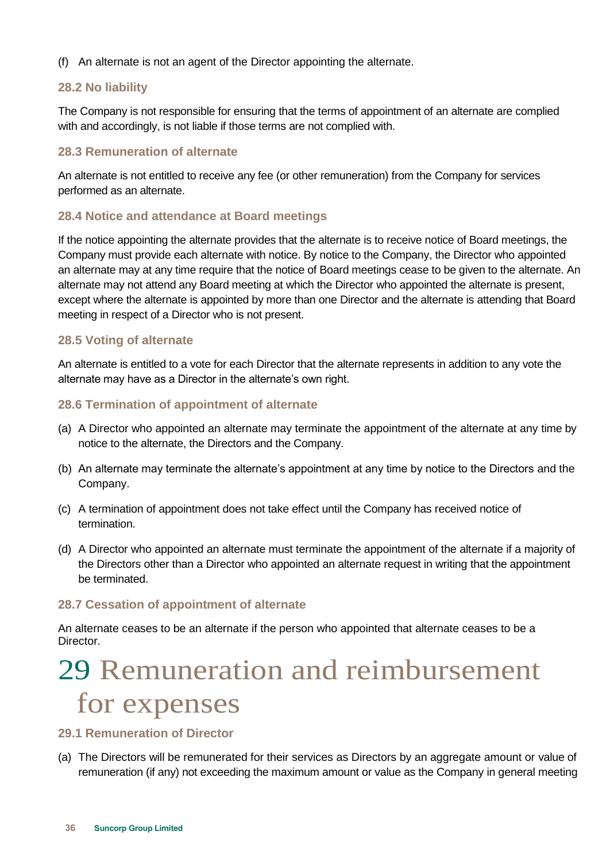(f) An alternate is not an agent of the Director appointing the alternate.

#### <span id="page-37-0"></span>**28.2 No liability**

The Company is not responsible for ensuring that the terms of appointment of an alternate are complied with and accordingly, is not liable if those terms are not complied with.

#### <span id="page-37-1"></span>**28.3 Remuneration of alternate**

An alternate is not entitled to receive any fee (or other remuneration) from the Company for services performed as an alternate.

#### <span id="page-37-2"></span>**28.4 Notice and attendance at Board meetings**

If the notice appointing the alternate provides that the alternate is to receive notice of Board meetings, the Company must provide each alternate with notice. By notice to the Company, the Director who appointed an alternate may at any time require that the notice of Board meetings cease to be given to the alternate. An alternate may not attend any Board meeting at which the Director who appointed the alternate is present, except where the alternate is appointed by more than one Director and the alternate is attending that Board meeting in respect of a Director who is not present.

#### <span id="page-37-3"></span>**28.5 Voting of alternate**

An alternate is entitled to a vote for each Director that the alternate represents in addition to any vote the alternate may have as a Director in the alternate's own right.

#### <span id="page-37-4"></span>**28.6 Termination of appointment of alternate**

- (a) A Director who appointed an alternate may terminate the appointment of the alternate at any time by notice to the alternate, the Directors and the Company.
- (b) An alternate may terminate the alternate's appointment at any time by notice to the Directors and the Company.
- (c) A termination of appointment does not take effect until the Company has received notice of termination.
- (d) A Director who appointed an alternate must terminate the appointment of the alternate if a majority of the Directors other than a Director who appointed an alternate request in writing that the appointment be terminated.

#### <span id="page-37-5"></span>**28.7 Cessation of appointment of alternate**

An alternate ceases to be an alternate if the person who appointed that alternate ceases to be a Director.

### <span id="page-37-6"></span>29 Remuneration and reimbursement for expenses

#### <span id="page-37-7"></span>**29.1 Remuneration of Director**

(a) The Directors will be remunerated for their services as Directors by an aggregate amount or value of remuneration (if any) not exceeding the maximum amount or value as the Company in general meeting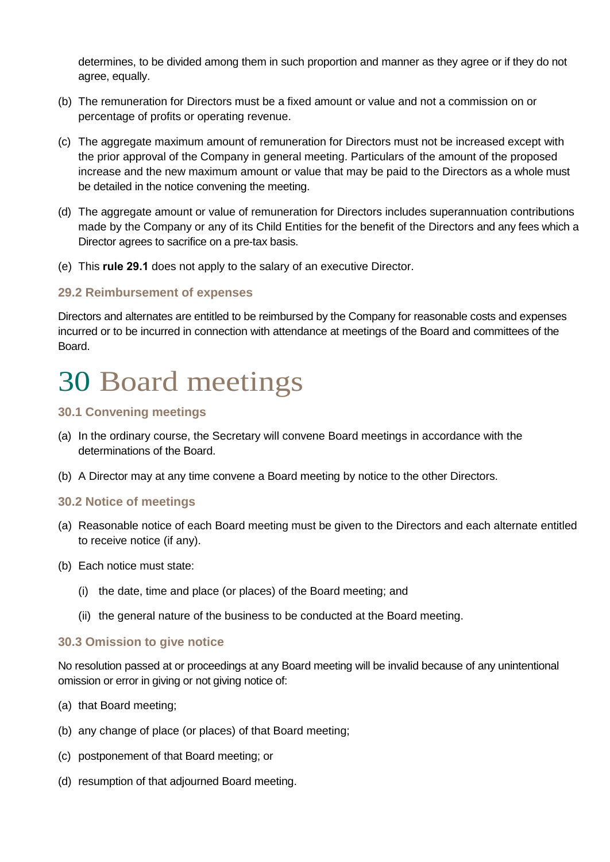determines, to be divided among them in such proportion and manner as they agree or if they do not agree, equally.

- (b) The remuneration for Directors must be a fixed amount or value and not a commission on or percentage of profits or operating revenue.
- (c) The aggregate maximum amount of remuneration for Directors must not be increased except with the prior approval of the Company in general meeting. Particulars of the amount of the proposed increase and the new maximum amount or value that may be paid to the Directors as a whole must be detailed in the notice convening the meeting.
- (d) The aggregate amount or value of remuneration for Directors includes superannuation contributions made by the Company or any of its Child Entities for the benefit of the Directors and any fees which a Director agrees to sacrifice on a pre-tax basis.
- (e) This **rule [29.1](#page-37-7)** does not apply to the salary of an executive Director.

#### <span id="page-38-0"></span>**29.2 Reimbursement of expenses**

Directors and alternates are entitled to be reimbursed by the Company for reasonable costs and expenses incurred or to be incurred in connection with attendance at meetings of the Board and committees of the Board.

### <span id="page-38-1"></span>30 Board meetings

#### <span id="page-38-2"></span>**30.1 Convening meetings**

- (a) In the ordinary course, the Secretary will convene Board meetings in accordance with the determinations of the Board.
- (b) A Director may at any time convene a Board meeting by notice to the other Directors.

#### <span id="page-38-3"></span>**30.2 Notice of meetings**

- (a) Reasonable notice of each Board meeting must be given to the Directors and each alternate entitled to receive notice (if any).
- (b) Each notice must state:
	- (i) the date, time and place (or places) of the Board meeting; and
	- (ii) the general nature of the business to be conducted at the Board meeting.

#### <span id="page-38-4"></span>**30.3 Omission to give notice**

No resolution passed at or proceedings at any Board meeting will be invalid because of any unintentional omission or error in giving or not giving notice of:

- (a) that Board meeting;
- (b) any change of place (or places) of that Board meeting;
- (c) postponement of that Board meeting; or
- (d) resumption of that adjourned Board meeting.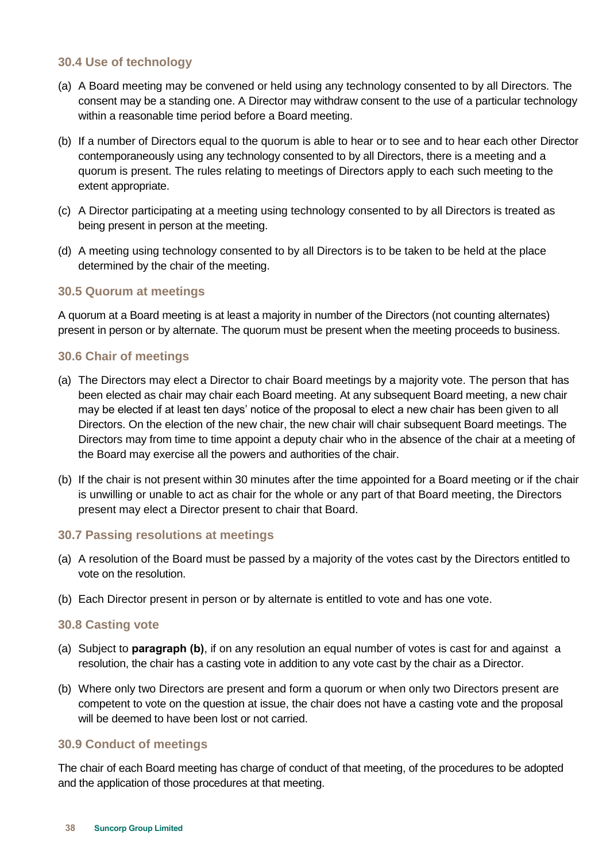#### <span id="page-39-0"></span>**30.4 Use of technology**

- (a) A Board meeting may be convened or held using any technology consented to by all Directors. The consent may be a standing one. A Director may withdraw consent to the use of a particular technology within a reasonable time period before a Board meeting.
- (b) If a number of Directors equal to the quorum is able to hear or to see and to hear each other Director contemporaneously using any technology consented to by all Directors, there is a meeting and a quorum is present. The rules relating to meetings of Directors apply to each such meeting to the extent appropriate.
- (c) A Director participating at a meeting using technology consented to by all Directors is treated as being present in person at the meeting.
- (d) A meeting using technology consented to by all Directors is to be taken to be held at the place determined by the chair of the meeting.

#### <span id="page-39-1"></span>**30.5 Quorum at meetings**

A quorum at a Board meeting is at least a majority in number of the Directors (not counting alternates) present in person or by alternate. The quorum must be present when the meeting proceeds to business.

#### <span id="page-39-2"></span>**30.6 Chair of meetings**

- (a) The Directors may elect a Director to chair Board meetings by a majority vote. The person that has been elected as chair may chair each Board meeting. At any subsequent Board meeting, a new chair may be elected if at least ten days' notice of the proposal to elect a new chair has been given to all Directors. On the election of the new chair, the new chair will chair subsequent Board meetings. The Directors may from time to time appoint a deputy chair who in the absence of the chair at a meeting of the Board may exercise all the powers and authorities of the chair.
- (b) If the chair is not present within 30 minutes after the time appointed for a Board meeting or if the chair is unwilling or unable to act as chair for the whole or any part of that Board meeting, the Directors present may elect a Director present to chair that Board.

#### <span id="page-39-3"></span>**30.7 Passing resolutions at meetings**

- (a) A resolution of the Board must be passed by a majority of the votes cast by the Directors entitled to vote on the resolution.
- (b) Each Director present in person or by alternate is entitled to vote and has one vote.

#### <span id="page-39-4"></span>**30.8 Casting vote**

- (a) Subject to **paragraph (b)**, if on any resolution an equal number of votes is cast for and against a resolution, the chair has a casting vote in addition to any vote cast by the chair as a Director.
- (b) Where only two Directors are present and form a quorum or when only two Directors present are competent to vote on the question at issue, the chair does not have a casting vote and the proposal will be deemed to have been lost or not carried.

#### <span id="page-39-5"></span>**30.9 Conduct of meetings**

The chair of each Board meeting has charge of conduct of that meeting, of the procedures to be adopted and the application of those procedures at that meeting.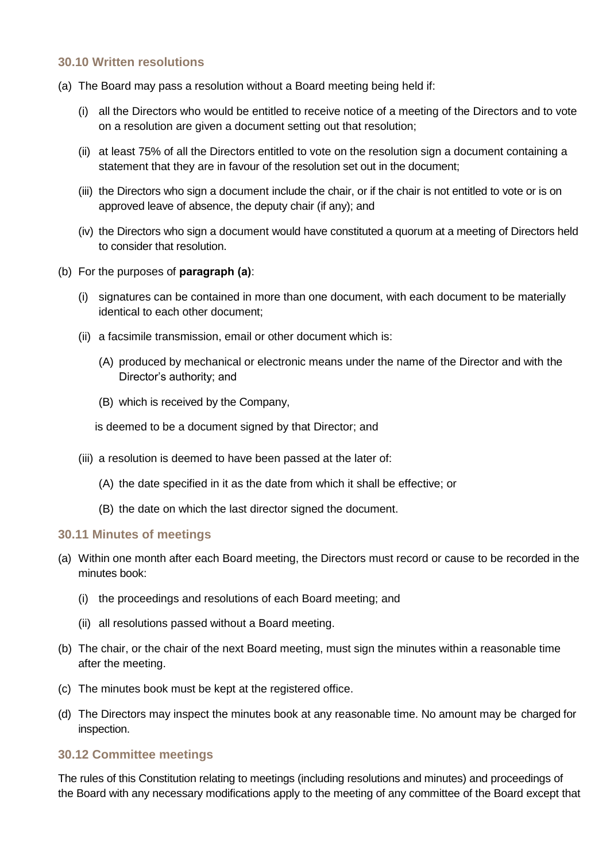#### <span id="page-40-0"></span>**30.10 Written resolutions**

- (a) The Board may pass a resolution without a Board meeting being held if:
	- (i) all the Directors who would be entitled to receive notice of a meeting of the Directors and to vote on a resolution are given a document setting out that resolution;
	- (ii) at least 75% of all the Directors entitled to vote on the resolution sign a document containing a statement that they are in favour of the resolution set out in the document;
	- (iii) the Directors who sign a document include the chair, or if the chair is not entitled to vote or is on approved leave of absence, the deputy chair (if any); and
	- (iv) the Directors who sign a document would have constituted a quorum at a meeting of Directors held to consider that resolution.
- (b) For the purposes of **paragraph (a)**:
	- (i) signatures can be contained in more than one document, with each document to be materially identical to each other document;
	- (ii) a facsimile transmission, email or other document which is:
		- (A) produced by mechanical or electronic means under the name of the Director and with the Director's authority; and
		- (B) which is received by the Company,

is deemed to be a document signed by that Director; and

- (iii) a resolution is deemed to have been passed at the later of:
	- (A) the date specified in it as the date from which it shall be effective; or
	- (B) the date on which the last director signed the document.

#### <span id="page-40-1"></span>**30.11 Minutes of meetings**

- (a) Within one month after each Board meeting, the Directors must record or cause to be recorded in the minutes book:
	- (i) the proceedings and resolutions of each Board meeting; and
	- (ii) all resolutions passed without a Board meeting.
- (b) The chair, or the chair of the next Board meeting, must sign the minutes within a reasonable time after the meeting.
- (c) The minutes book must be kept at the registered office.
- (d) The Directors may inspect the minutes book at any reasonable time. No amount may be charged for inspection.

#### <span id="page-40-2"></span>**30.12 Committee meetings**

The rules of this Constitution relating to meetings (including resolutions and minutes) and proceedings of the Board with any necessary modifications apply to the meeting of any committee of the Board except that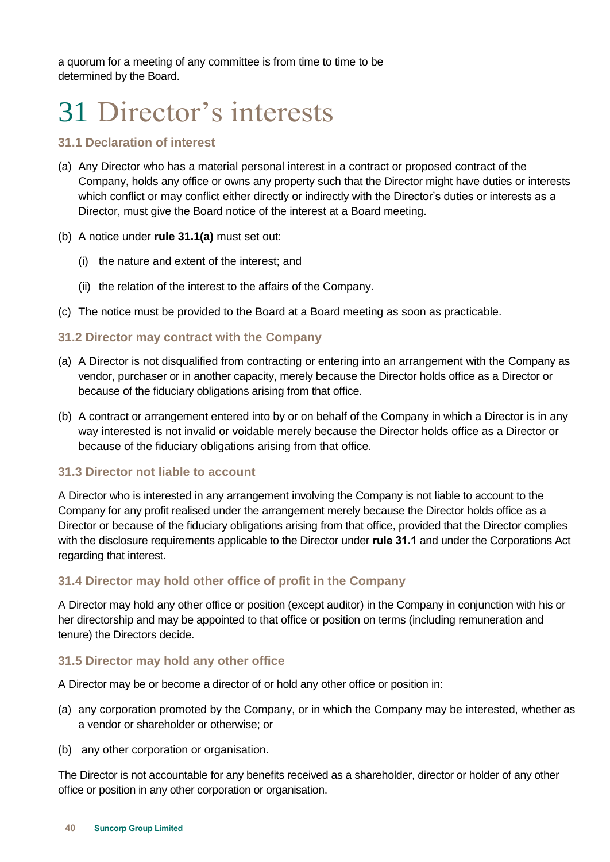a quorum for a meeting of any committee is from time to time to be determined by the Board.

### <span id="page-41-0"></span>31 Director's interests

#### <span id="page-41-1"></span>**31.1 Declaration of interest**

- <span id="page-41-6"></span>(a) Any Director who has a material personal interest in a contract or proposed contract of the Company, holds any office or owns any property such that the Director might have duties or interests which conflict or may conflict either directly or indirectly with the Director's duties or interests as a Director, must give the Board notice of the interest at a Board meeting.
- (b) A notice under **rule [31.1\(a\)](#page-41-6)** must set out:
	- (i) the nature and extent of the interest; and
	- (ii) the relation of the interest to the affairs of the Company.
- (c) The notice must be provided to the Board at a Board meeting as soon as practicable.

#### <span id="page-41-2"></span>**31.2 Director may contract with the Company**

- (a) A Director is not disqualified from contracting or entering into an arrangement with the Company as vendor, purchaser or in another capacity, merely because the Director holds office as a Director or because of the fiduciary obligations arising from that office.
- (b) A contract or arrangement entered into by or on behalf of the Company in which a Director is in any way interested is not invalid or voidable merely because the Director holds office as a Director or because of the fiduciary obligations arising from that office.

#### <span id="page-41-3"></span>**31.3 Director not liable to account**

A Director who is interested in any arrangement involving the Company is not liable to account to the Company for any profit realised under the arrangement merely because the Director holds office as a Director or because of the fiduciary obligations arising from that office, provided that the Director complies with the disclosure requirements applicable to the Director under **rule [31.1](#page-41-1)** and under the Corporations Act regarding that interest.

#### <span id="page-41-4"></span>**31.4 Director may hold other office of profit in the Company**

A Director may hold any other office or position (except auditor) in the Company in conjunction with his or her directorship and may be appointed to that office or position on terms (including remuneration and tenure) the Directors decide.

#### <span id="page-41-5"></span>**31.5 Director may hold any other office**

A Director may be or become a director of or hold any other office or position in:

- (a) any corporation promoted by the Company, or in which the Company may be interested, whether as a vendor or shareholder or otherwise; or
- (b) any other corporation or organisation.

The Director is not accountable for any benefits received as a shareholder, director or holder of any other office or position in any other corporation or organisation.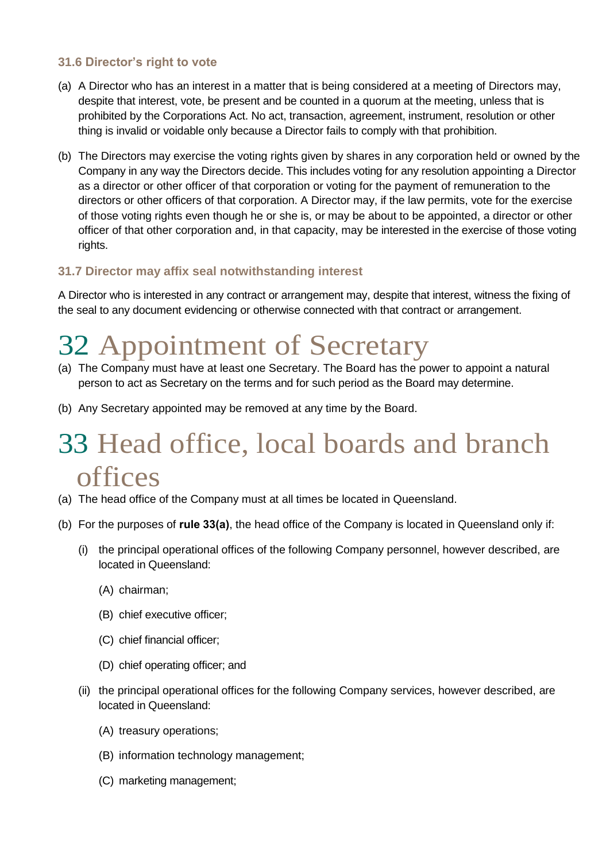#### <span id="page-42-0"></span>**31.6 Director's right to vote**

- (a) A Director who has an interest in a matter that is being considered at a meeting of Directors may, despite that interest, vote, be present and be counted in a quorum at the meeting, unless that is prohibited by the Corporations Act. No act, transaction, agreement, instrument, resolution or other thing is invalid or voidable only because a Director fails to comply with that prohibition.
- (b) The Directors may exercise the voting rights given by shares in any corporation held or owned by the Company in any way the Directors decide. This includes voting for any resolution appointing a Director as a director or other officer of that corporation or voting for the payment of remuneration to the directors or other officers of that corporation. A Director may, if the law permits, vote for the exercise of those voting rights even though he or she is, or may be about to be appointed, a director or other officer of that other corporation and, in that capacity, may be interested in the exercise of those voting rights.

#### <span id="page-42-1"></span>**31.7 Director may affix seal notwithstanding interest**

A Director who is interested in any contract or arrangement may, despite that interest, witness the fixing of the seal to any document evidencing or otherwise connected with that contract or arrangement.

### <span id="page-42-2"></span>32 Appointment of Secretary

- (a) The Company must have at least one Secretary. The Board has the power to appoint a natural person to act as Secretary on the terms and for such period as the Board may determine.
- (b) Any Secretary appointed may be removed at any time by the Board.

### <span id="page-42-3"></span>33 Head office, local boards and branch offices

- <span id="page-42-4"></span>(a) The head office of the Company must at all times be located in Queensland.
- (b) For the purposes of **rule [33\(a\)](#page-42-4)**, the head office of the Company is located in Queensland only if:
	- (i) the principal operational offices of the following Company personnel, however described, are located in Queensland:
		- (A) chairman;
		- (B) chief executive officer;
		- (C) chief financial officer;
		- (D) chief operating officer; and
	- (ii) the principal operational offices for the following Company services, however described, are located in Queensland:
		- (A) treasury operations;
		- (B) information technology management;
		- (C) marketing management;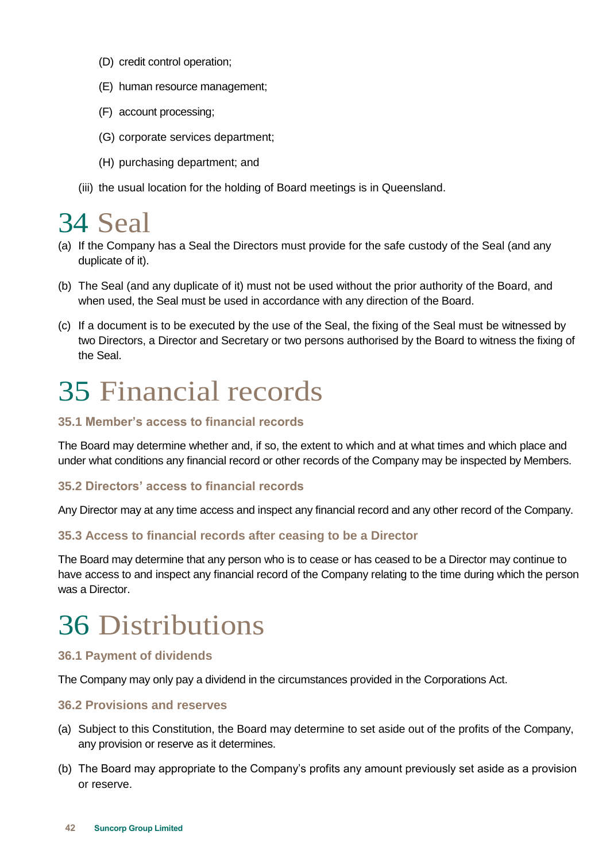- (D) credit control operation;
- (E) human resource management;
- (F) account processing;
- (G) corporate services department;
- (H) purchasing department; and
- (iii) the usual location for the holding of Board meetings is in Queensland.

### <span id="page-43-0"></span>34 Seal

- (a) If the Company has a Seal the Directors must provide for the safe custody of the Seal (and any duplicate of it).
- (b) The Seal (and any duplicate of it) must not be used without the prior authority of the Board, and when used, the Seal must be used in accordance with any direction of the Board.
- (c) If a document is to be executed by the use of the Seal, the fixing of the Seal must be witnessed by two Directors, a Director and Secretary or two persons authorised by the Board to witness the fixing of the Seal.

### <span id="page-43-1"></span>35 Financial records

#### <span id="page-43-2"></span>**35.1 Member's access to financial records**

The Board may determine whether and, if so, the extent to which and at what times and which place and under what conditions any financial record or other records of the Company may be inspected by Members.

#### <span id="page-43-3"></span>**35.2 Directors' access to financial records**

Any Director may at any time access and inspect any financial record and any other record of the Company.

#### <span id="page-43-4"></span>**35.3 Access to financial records after ceasing to be a Director**

The Board may determine that any person who is to cease or has ceased to be a Director may continue to have access to and inspect any financial record of the Company relating to the time during which the person was a Director.

### <span id="page-43-5"></span>36 Distributions

#### <span id="page-43-6"></span>**36.1 Payment of dividends**

The Company may only pay a dividend in the circumstances provided in the Corporations Act.

#### <span id="page-43-7"></span>**36.2 Provisions and reserves**

- (a) Subject to this Constitution, the Board may determine to set aside out of the profits of the Company, any provision or reserve as it determines.
- (b) The Board may appropriate to the Company's profits any amount previously set aside as a provision or reserve.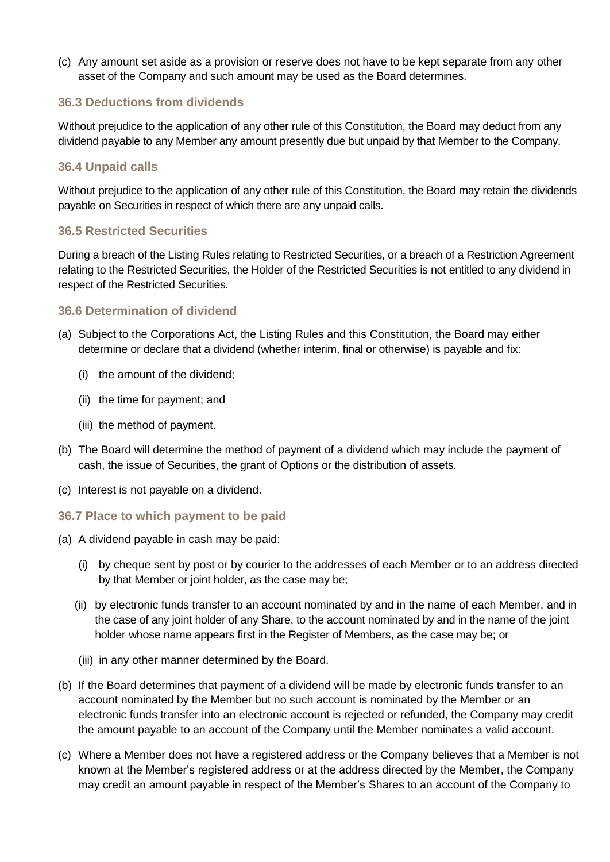(c) Any amount set aside as a provision or reserve does not have to be kept separate from any other asset of the Company and such amount may be used as the Board determines.

#### <span id="page-44-0"></span>**36.3 Deductions from dividends**

Without prejudice to the application of any other rule of this Constitution, the Board may deduct from any dividend payable to any Member any amount presently due but unpaid by that Member to the Company.

#### <span id="page-44-1"></span>**36.4 Unpaid calls**

Without prejudice to the application of any other rule of this Constitution, the Board may retain the dividends payable on Securities in respect of which there are any unpaid calls.

#### <span id="page-44-2"></span>**36.5 Restricted Securities**

During a breach of the Listing Rules relating to Restricted Securities, or a breach of a Restriction Agreement relating to the Restricted Securities, the Holder of the Restricted Securities is not entitled to any dividend in respect of the Restricted Securities.

#### <span id="page-44-3"></span>**36.6 Determination of dividend**

- (a) Subject to the Corporations Act, the Listing Rules and this Constitution, the Board may either determine or declare that a dividend (whether interim, final or otherwise) is payable and fix:
	- (i) the amount of the dividend;
	- (ii) the time for payment; and
	- (iii) the method of payment.
- (b) The Board will determine the method of payment of a dividend which may include the payment of cash, the issue of Securities, the grant of Options or the distribution of assets.
- (c) Interest is not payable on a dividend.
- <span id="page-44-4"></span>**36.7 Place to which payment to be paid**
- <span id="page-44-7"></span>(a) A dividend payable in cash may be paid:
	- (i) by cheque sent by post or by courier to the addresses of each Member or to an address directed by that Member or joint holder, as the case may be;
	- (ii) by electronic funds transfer to an account nominated by and in the name of each Member, and in the case of any joint holder of any Share, to the account nominated by and in the name of the joint holder whose name appears first in the Register of Members, as the case may be; or
	- (iii) in any other manner determined by the Board.
- <span id="page-44-5"></span>(b) If the Board determines that payment of a dividend will be made by electronic funds transfer to an account nominated by the Member but no such account is nominated by the Member or an electronic funds transfer into an electronic account is rejected or refunded, the Company may credit the amount payable to an account of the Company until the Member nominates a valid account.
- <span id="page-44-6"></span>(c) Where a Member does not have a registered address or the Company believes that a Member is not known at the Member's registered address or at the address directed by the Member, the Company may credit an amount payable in respect of the Member's Shares to an account of the Company to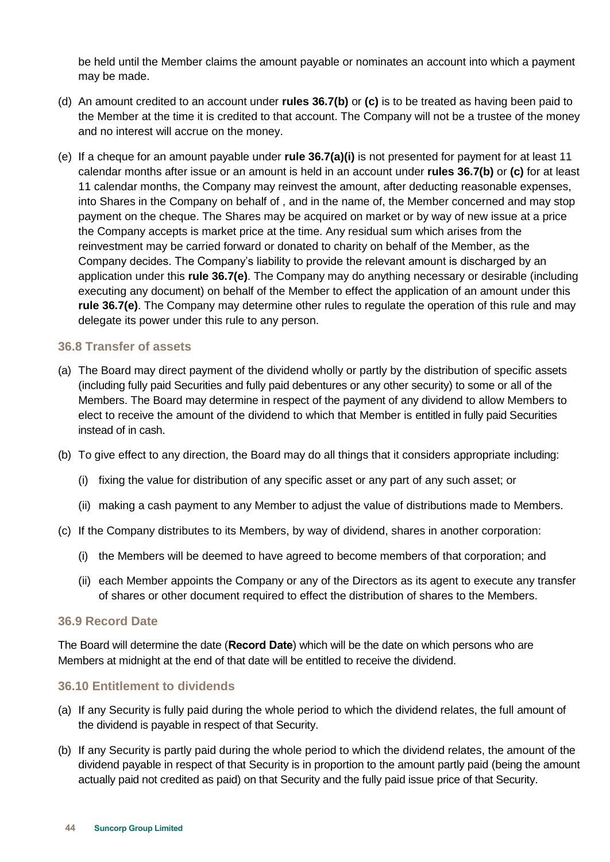be held until the Member claims the amount payable or nominates an account into which a payment may be made.

- (d) An amount credited to an account under **rules [36.7\(b\)](#page-44-5)** or **[\(c\)](#page-44-6)** is to be treated as having been paid to the Member at the time it is credited to that account. The Company will not be a trustee of the money and no interest will accrue on the money.
- <span id="page-45-3"></span>(e) If a cheque for an amount payable under **rule [36.7\(a\)\(i\)](#page-44-7)** is not presented for payment for at least 11 calendar months after issue or an amount is held in an account under **rules [36.7\(b\)](#page-44-5)** or **[\(c\)](#page-44-6)** for at least 11 calendar months, the Company may reinvest the amount, after deducting reasonable expenses, into Shares in the Company on behalf of , and in the name of, the Member concerned and may stop payment on the cheque. The Shares may be acquired on market or by way of new issue at a price the Company accepts is market price at the time. Any residual sum which arises from the reinvestment may be carried forward or donated to charity on behalf of the Member, as the Company decides. The Company's liability to provide the relevant amount is discharged by an application under this **rule [36.7\(e\)](#page-45-3)**. The Company may do anything necessary or desirable (including executing any document) on behalf of the Member to effect the application of an amount under this **rule [36.7\(e\)](#page-45-3)**. The Company may determine other rules to regulate the operation of this rule and may delegate its power under this rule to any person.

#### <span id="page-45-0"></span>**36.8 Transfer of assets**

- (a) The Board may direct payment of the dividend wholly or partly by the distribution of specific assets (including fully paid Securities and fully paid debentures or any other security) to some or all of the Members. The Board may determine in respect of the payment of any dividend to allow Members to elect to receive the amount of the dividend to which that Member is entitled in fully paid Securities instead of in cash.
- (b) To give effect to any direction, the Board may do all things that it considers appropriate including:
	- (i) fixing the value for distribution of any specific asset or any part of any such asset; or
	- (ii) making a cash payment to any Member to adjust the value of distributions made to Members.
- (c) If the Company distributes to its Members, by way of dividend, shares in another corporation:
	- (i) the Members will be deemed to have agreed to become members of that corporation; and
	- (ii) each Member appoints the Company or any of the Directors as its agent to execute any transfer of shares or other document required to effect the distribution of shares to the Members.

#### <span id="page-45-1"></span>**36.9 Record Date**

The Board will determine the date (**Record Date**) which will be the date on which persons who are Members at midnight at the end of that date will be entitled to receive the dividend.

#### <span id="page-45-2"></span>**36.10 Entitlement to dividends**

- (a) If any Security is fully paid during the whole period to which the dividend relates, the full amount of the dividend is payable in respect of that Security.
- (b) If any Security is partly paid during the whole period to which the dividend relates, the amount of the dividend payable in respect of that Security is in proportion to the amount partly paid (being the amount actually paid not credited as paid) on that Security and the fully paid issue price of that Security.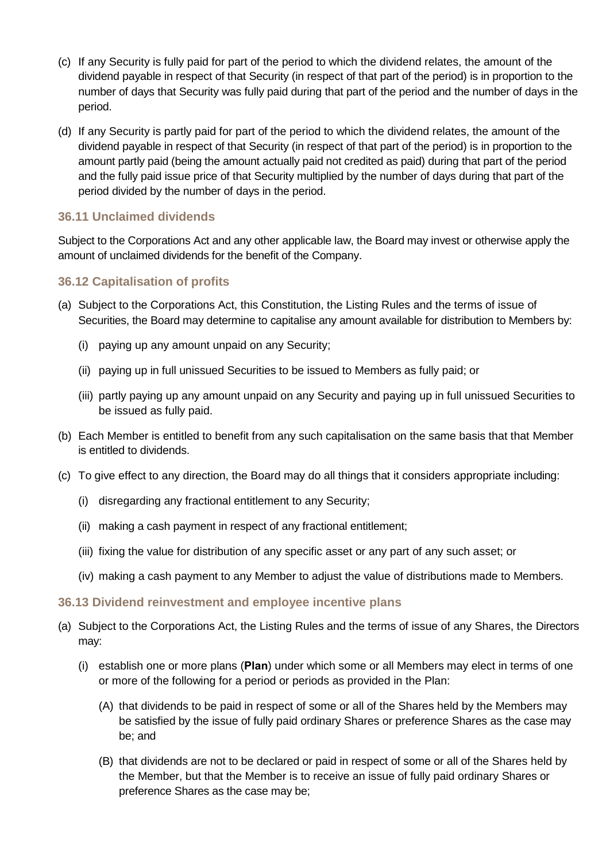- (c) If any Security is fully paid for part of the period to which the dividend relates, the amount of the dividend payable in respect of that Security (in respect of that part of the period) is in proportion to the number of days that Security was fully paid during that part of the period and the number of days in the period.
- (d) If any Security is partly paid for part of the period to which the dividend relates, the amount of the dividend payable in respect of that Security (in respect of that part of the period) is in proportion to the amount partly paid (being the amount actually paid not credited as paid) during that part of the period and the fully paid issue price of that Security multiplied by the number of days during that part of the period divided by the number of days in the period.

#### <span id="page-46-0"></span>**36.11 Unclaimed dividends**

Subject to the Corporations Act and any other applicable law, the Board may invest or otherwise apply the amount of unclaimed dividends for the benefit of the Company.

#### <span id="page-46-1"></span>**36.12 Capitalisation of profits**

- (a) Subject to the Corporations Act, this Constitution, the Listing Rules and the terms of issue of Securities, the Board may determine to capitalise any amount available for distribution to Members by:
	- (i) paying up any amount unpaid on any Security;
	- (ii) paying up in full unissued Securities to be issued to Members as fully paid; or
	- (iii) partly paying up any amount unpaid on any Security and paying up in full unissued Securities to be issued as fully paid.
- (b) Each Member is entitled to benefit from any such capitalisation on the same basis that that Member is entitled to dividends.
- (c) To give effect to any direction, the Board may do all things that it considers appropriate including:
	- (i) disregarding any fractional entitlement to any Security;
	- (ii) making a cash payment in respect of any fractional entitlement;
	- (iii) fixing the value for distribution of any specific asset or any part of any such asset; or
	- (iv) making a cash payment to any Member to adjust the value of distributions made to Members.

#### <span id="page-46-2"></span>**36.13 Dividend reinvestment and employee incentive plans**

- (a) Subject to the Corporations Act, the Listing Rules and the terms of issue of any Shares, the Directors may:
	- (i) establish one or more plans (**Plan**) under which some or all Members may elect in terms of one or more of the following for a period or periods as provided in the Plan:
		- (A) that dividends to be paid in respect of some or all of the Shares held by the Members may be satisfied by the issue of fully paid ordinary Shares or preference Shares as the case may be; and
		- (B) that dividends are not to be declared or paid in respect of some or all of the Shares held by the Member, but that the Member is to receive an issue of fully paid ordinary Shares or preference Shares as the case may be;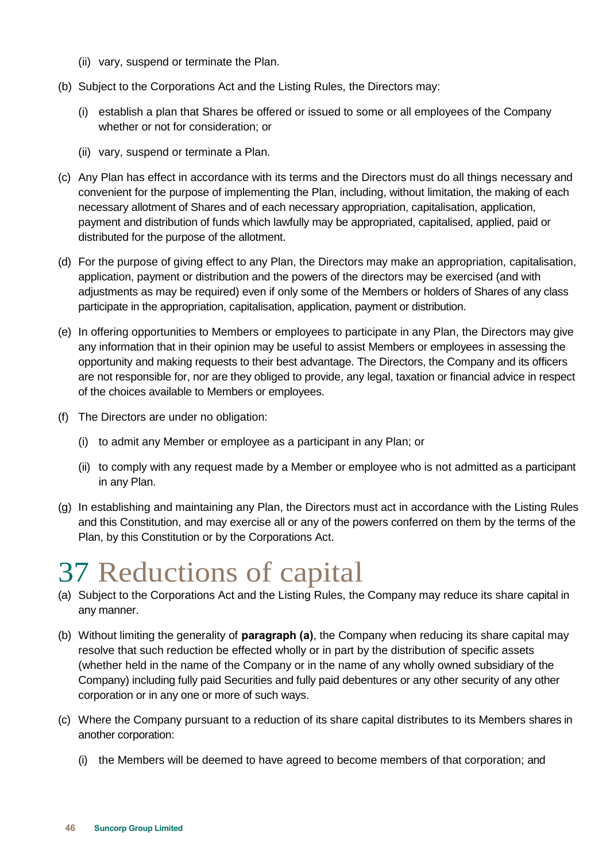- (ii) vary, suspend or terminate the Plan.
- (b) Subject to the Corporations Act and the Listing Rules, the Directors may:
	- (i) establish a plan that Shares be offered or issued to some or all employees of the Company whether or not for consideration; or
	- (ii) vary, suspend or terminate a Plan.
- (c) Any Plan has effect in accordance with its terms and the Directors must do all things necessary and convenient for the purpose of implementing the Plan, including, without limitation, the making of each necessary allotment of Shares and of each necessary appropriation, capitalisation, application, payment and distribution of funds which lawfully may be appropriated, capitalised, applied, paid or distributed for the purpose of the allotment.
- (d) For the purpose of giving effect to any Plan, the Directors may make an appropriation, capitalisation, application, payment or distribution and the powers of the directors may be exercised (and with adjustments as may be required) even if only some of the Members or holders of Shares of any class participate in the appropriation, capitalisation, application, payment or distribution.
- (e) In offering opportunities to Members or employees to participate in any Plan, the Directors may give any information that in their opinion may be useful to assist Members or employees in assessing the opportunity and making requests to their best advantage. The Directors, the Company and its officers are not responsible for, nor are they obliged to provide, any legal, taxation or financial advice in respect of the choices available to Members or employees.
- (f) The Directors are under no obligation:
	- (i) to admit any Member or employee as a participant in any Plan; or
	- (ii) to comply with any request made by a Member or employee who is not admitted as a participant in any Plan.
- (g) In establishing and maintaining any Plan, the Directors must act in accordance with the Listing Rules and this Constitution, and may exercise all or any of the powers conferred on them by the terms of the Plan, by this Constitution or by the Corporations Act.

### <span id="page-47-0"></span>37 Reductions of capital

- (a) Subject to the Corporations Act and the Listing Rules, the Company may reduce its share capital in any manner.
- (b) Without limiting the generality of **paragraph (a)**, the Company when reducing its share capital may resolve that such reduction be effected wholly or in part by the distribution of specific assets (whether held in the name of the Company or in the name of any wholly owned subsidiary of the Company) including fully paid Securities and fully paid debentures or any other security of any other corporation or in any one or more of such ways.
- (c) Where the Company pursuant to a reduction of its share capital distributes to its Members shares in another corporation:
	- (i) the Members will be deemed to have agreed to become members of that corporation; and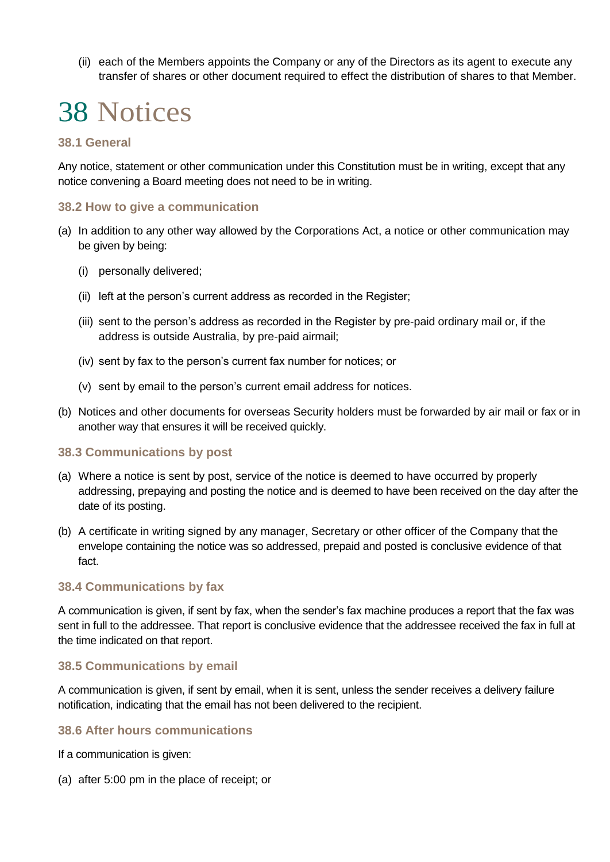(ii) each of the Members appoints the Company or any of the Directors as its agent to execute any transfer of shares or other document required to effect the distribution of shares to that Member.

### <span id="page-48-0"></span>38 Notices

#### <span id="page-48-1"></span>**38.1 General**

Any notice, statement or other communication under this Constitution must be in writing, except that any notice convening a Board meeting does not need to be in writing.

#### <span id="page-48-2"></span>**38.2 How to give a communication**

- (a) In addition to any other way allowed by the Corporations Act, a notice or other communication may be given by being:
	- (i) personally delivered;
	- (ii) left at the person's current address as recorded in the Register;
	- (iii) sent to the person's address as recorded in the Register by pre-paid ordinary mail or, if the address is outside Australia, by pre-paid airmail;
	- (iv) sent by fax to the person's current fax number for notices; or
	- (v) sent by email to the person's current email address for notices.
- (b) Notices and other documents for overseas Security holders must be forwarded by air mail or fax or in another way that ensures it will be received quickly.

#### <span id="page-48-3"></span>**38.3 Communications by post**

- (a) Where a notice is sent by post, service of the notice is deemed to have occurred by properly addressing, prepaying and posting the notice and is deemed to have been received on the day after the date of its posting.
- (b) A certificate in writing signed by any manager, Secretary or other officer of the Company that the envelope containing the notice was so addressed, prepaid and posted is conclusive evidence of that fact.

#### <span id="page-48-4"></span>**38.4 Communications by fax**

A communication is given, if sent by fax, when the sender's fax machine produces a report that the fax was sent in full to the addressee. That report is conclusive evidence that the addressee received the fax in full at the time indicated on that report.

#### <span id="page-48-5"></span>**38.5 Communications by email**

A communication is given, if sent by email, when it is sent, unless the sender receives a delivery failure notification, indicating that the email has not been delivered to the recipient.

#### <span id="page-48-6"></span>**38.6 After hours communications**

If a communication is given:

(a) after 5:00 pm in the place of receipt; or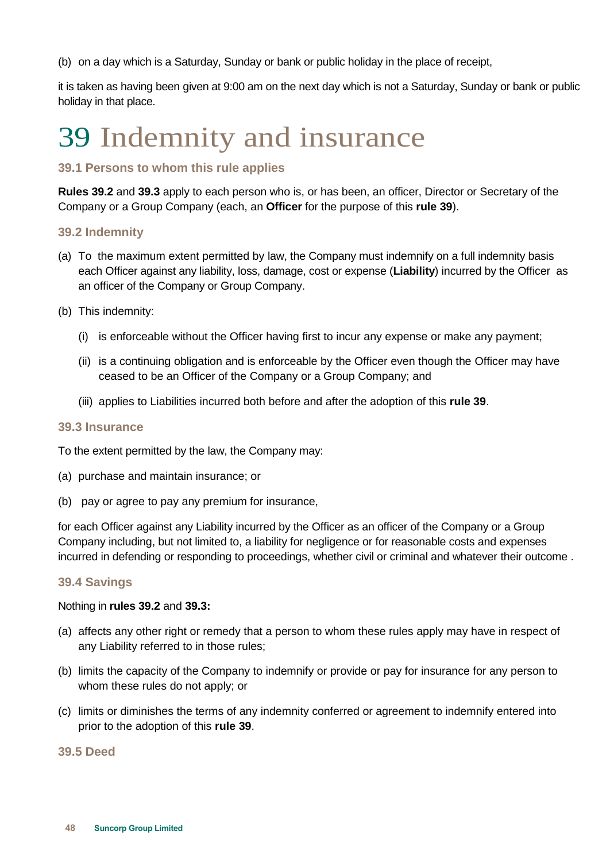(b) on a day which is a Saturday, Sunday or bank or public holiday in the place of receipt,

it is taken as having been given at 9:00 am on the next day which is not a Saturday, Sunday or bank or public holiday in that place.

# <span id="page-49-0"></span>39 Indemnity and insurance

#### <span id="page-49-1"></span>**39.1 Persons to whom this rule applies**

**Rules [39.2](#page-49-2)** and **[39.3](#page-49-3)** apply to each person who is, or has been, an officer, Director or Secretary of the Company or a Group Company (each, an **Officer** for the purpose of this **rule [39](#page-49-0)**).

#### <span id="page-49-2"></span>**39.2 Indemnity**

- (a) To the maximum extent permitted by law, the Company must indemnify on a full indemnity basis each Officer against any liability, loss, damage, cost or expense (**Liability**) incurred by the Officer as an officer of the Company or Group Company.
- (b) This indemnity:
	- (i) is enforceable without the Officer having first to incur any expense or make any payment;
	- (ii) is a continuing obligation and is enforceable by the Officer even though the Officer may have ceased to be an Officer of the Company or a Group Company; and
	- (iii) applies to Liabilities incurred both before and after the adoption of this **rule [39](#page-49-0)**.

#### <span id="page-49-3"></span>**39.3 Insurance**

To the extent permitted by the law, the Company may:

- (a) purchase and maintain insurance; or
- (b) pay or agree to pay any premium for insurance,

for each Officer against any Liability incurred by the Officer as an officer of the Company or a Group Company including, but not limited to, a liability for negligence or for reasonable costs and expenses incurred in defending or responding to proceedings, whether civil or criminal and whatever their outcome .

#### <span id="page-49-4"></span>**39.4 Savings**

#### Nothing in **rules [39.2](#page-49-2)** and **[39.3:](#page-49-3)**

- (a) affects any other right or remedy that a person to whom these rules apply may have in respect of any Liability referred to in those rules;
- (b) limits the capacity of the Company to indemnify or provide or pay for insurance for any person to whom these rules do not apply; or
- (c) limits or diminishes the terms of any indemnity conferred or agreement to indemnify entered into prior to the adoption of this **rule [39](#page-49-0)**.

<span id="page-49-5"></span>**39.5 Deed**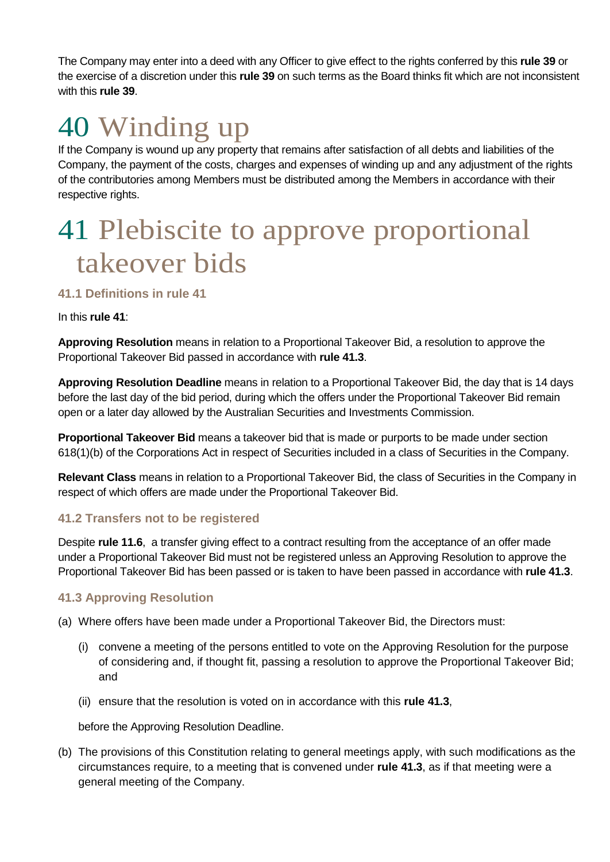The Company may enter into a deed with any Officer to give effect to the rights conferred by this **rule [39](#page-49-0)** or the exercise of a discretion under this **rule [39](#page-49-0)** on such terms as the Board thinks fit which are not inconsistent with this **rule [39](#page-49-0)**.

### <span id="page-50-0"></span>40 Winding up

If the Company is wound up any property that remains after satisfaction of all debts and liabilities of the Company, the payment of the costs, charges and expenses of winding up and any adjustment of the rights of the contributories among Members must be distributed among the Members in accordance with their respective rights.

### <span id="page-50-1"></span>41 Plebiscite to approve proportional takeover bids

#### <span id="page-50-2"></span>**41.1 Definitions in rule [41](#page-50-1)**

#### In this **rule [41](#page-50-1)**:

**Approving Resolution** means in relation to a Proportional Takeover Bid, a resolution to approve the Proportional Takeover Bid passed in accordance with **rule [41.3](#page-50-4)**.

**Approving Resolution Deadline** means in relation to a Proportional Takeover Bid, the day that is 14 days before the last day of the bid period, during which the offers under the Proportional Takeover Bid remain open or a later day allowed by the Australian Securities and Investments Commission.

**Proportional Takeover Bid** means a takeover bid that is made or purports to be made under section 618(1)(b) of the Corporations Act in respect of Securities included in a class of Securities in the Company.

**Relevant Class** means in relation to a Proportional Takeover Bid, the class of Securities in the Company in respect of which offers are made under the Proportional Takeover Bid.

#### <span id="page-50-3"></span>**41.2 Transfers not to be registered**

Despite **rule [11.6](#page-19-0)**, a transfer giving effect to a contract resulting from the acceptance of an offer made under a Proportional Takeover Bid must not be registered unless an Approving Resolution to approve the Proportional Takeover Bid has been passed or is taken to have been passed in accordance with **rule [41.3](#page-50-4)**.

#### <span id="page-50-4"></span>**41.3 Approving Resolution**

(a) Where offers have been made under a Proportional Takeover Bid, the Directors must:

- (i) convene a meeting of the persons entitled to vote on the Approving Resolution for the purpose of considering and, if thought fit, passing a resolution to approve the Proportional Takeover Bid; and
- (ii) ensure that the resolution is voted on in accordance with this **rule [41.3](#page-50-4)**,

before the Approving Resolution Deadline.

(b) The provisions of this Constitution relating to general meetings apply, with such modifications as the circumstances require, to a meeting that is convened under **rule [41.3](#page-50-4)**, as if that meeting were a general meeting of the Company.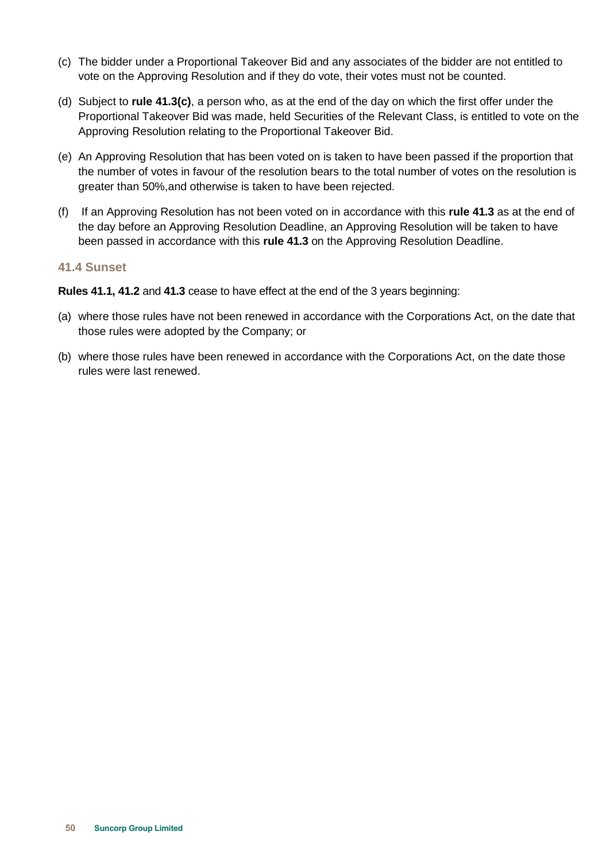- <span id="page-51-1"></span>(c) The bidder under a Proportional Takeover Bid and any associates of the bidder are not entitled to vote on the Approving Resolution and if they do vote, their votes must not be counted.
- (d) Subject to **rule [41.3\(c\)](#page-51-1)**, a person who, as at the end of the day on which the first offer under the Proportional Takeover Bid was made, held Securities of the Relevant Class, is entitled to vote on the Approving Resolution relating to the Proportional Takeover Bid.
- (e) An Approving Resolution that has been voted on is taken to have been passed if the proportion that the number of votes in favour of the resolution bears to the total number of votes on the resolution is greater than 50%,and otherwise is taken to have been rejected.
- (f) If an Approving Resolution has not been voted on in accordance with this **rule [41.3](#page-50-4)** as at the end of the day before an Approving Resolution Deadline, an Approving Resolution will be taken to have been passed in accordance with this **rule [41.3](#page-50-4)** on the Approving Resolution Deadline.

#### <span id="page-51-0"></span>**41.4 Sunset**

**Rules [41.1,](#page-50-2) [41.2](#page-50-3)** and **[41.3](#page-50-4)** cease to have effect at the end of the 3 years beginning:

- (a) where those rules have not been renewed in accordance with the Corporations Act, on the date that those rules were adopted by the Company; or
- (b) where those rules have been renewed in accordance with the Corporations Act, on the date those rules were last renewed.